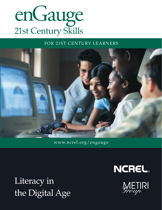

# FOR 21ST CENTURY LEARNERS



www.ncrel.org/engauge

Literacy in the Digital Age



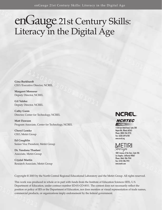# enGauge 21st Century Skills: Literacy in the Digital Age

**Gina Burkhardt** CEO/Executive Director, NCREL

**Margaret Monsour**  Deputy Director, NCREL

**Gil Valdez** Deputy Director, NCREL

**Cathy Gunn** Director, Center for Technology, NCREL

**Matt Dawson**  Program Associate, Center for Technology, NCREL

**Cheryl Lemke**  CEO, Metiri Group

**Ed Coughlin**  Senior Vice President, Metiri Group

**Dr. Vandana Thadani** Associate, Metiri Group

**Crystal Martin** Research Associate, Metiri Group

# **NCREL NCRTEC** *®* NCREL

1120 East Diehl Road, Suite 200 Naperville, Illinois 60563 Phone: (800) 356-2735 Fax: (630) 649-6700 www.ncrel.org

roup

1801 Avenue of the Stars, Suite 426 Los Angeles, California 90067 Phone: (866) 286-7944 Fax: (310) 286-7941 www.metiri.com

Copyright © 2003 by the North Central Regional Educational Laboratory and the Metiri Group. All rights reserved.

This work was produced in whole or in part with funds from the Institute of Education Sciences (IES), U.S. Department of Education, under contract number ED-01-CO-0011. The content does not necessarily reflect the position or policy of IES or the Department of Education, nor does mention or visual representation of trade names, commercial products, or organizations imply endorsement by the federal government.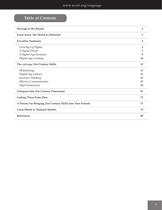|  |  | <b>Table of Contents</b> |
|--|--|--------------------------|
|--|--|--------------------------|

| Message to the Reader                                        | 2  |
|--------------------------------------------------------------|----|
| Extra! Extra! The World Is Different!                        |    |
| <b>Executive Summary</b>                                     | 4  |
| Growing Up Digital                                           |    |
| A Digital Divide                                             |    |
| A Digital-Age Economy                                        |    |
| Digital-Age Learning                                         | 10 |
| The enGauge 21st Century Skills                              | 12 |
| Methodology                                                  | 13 |
| Digital-Age Literacy                                         | 15 |
| <b>Inventive Thinking</b>                                    | 33 |
| <b>Effective Communication</b>                               | 47 |
| <b>High Productivity</b>                                     | 59 |
| <b>Glimpses Into 21st Century Classrooms</b>                 | 67 |
| <b>Getting There From Here</b>                               | 72 |
| A Process for Bringing 21st Century Skills Into Your Schools |    |
| <b>Cross-Match to National Models</b>                        | 74 |
| References                                                   | 80 |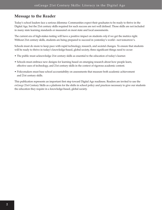## **Message to the Reader**

Today's school leaders face a serious dilemma: Communities expect their graduates to be ready to thrive in the Digital Age, but the 21st century skills required for such success are not well defined. Those skills are not included in many state learning standards or measured on most state and local assessments.

The current era of high-stakes testing will have a positive impact on students *only* if we get the metrics right. Without 21st century skills, students are being prepared to succeed in yesterday's world—not tomorrow's.

Schools must do more to keep pace with rapid technology, research, and societal changes. To ensure that students will be ready to thrive in today's knowledge-based, global society, three significant things need to occur:

- The public must acknowledge 21st century skills as essential to the education of today's learner.
- Schools must embrace new designs for learning based on emerging research about how people learn, effective uses of technology, and 21st century skills in the context of rigorous academic content.
- Policymakers must base school accountability on assessments that measure both academic achievement and 21st century skills.

This publication represents an important first step toward Digital Age readiness. Readers are invited to use the *enGauge* 21st Century Skills as a platform for the shifts in school policy and practices necessary to give our students the education they require in a knowledge-based, global society.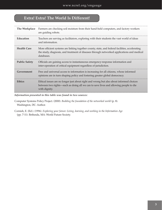# **Extra! Extra! The World Is Different!**

| The Workplace        | Farmers are checking soil moisture from their hand-held computers, and factory workers<br>are guiding robots.                                                                                               |
|----------------------|-------------------------------------------------------------------------------------------------------------------------------------------------------------------------------------------------------------|
| Education            | Teachers are serving as facilitators, exploring with their students the vast world of ideas<br>and information.                                                                                             |
| <b>Health Care</b>   | More efficient systems are linking together county, state, and federal facilities, accelerating<br>the study, diagnosis, and treatment of diseases through networked applications and medical<br>databases. |
| <b>Public Safety</b> | Officials are gaining access to instantaneous emergency-response information and<br>inter-operation of critical equipment regardless of jurisdiction.                                                       |
| Government           | Free and universal access to information is increasing for all citizens, whose informed<br>opinions are in turn shaping policy and fostering greater global democracy.                                      |
| <b>Ethics</b>        | Ethical issues are no longer just about right and wrong but also about informed choices<br>between two rights—such as doing all we can to save lives and allowing people to die<br>with dignity.            |

*Information presented in this table was found in two sources:*

Computer Systems Policy Project. (2000). *Building the foundation of the networked world* (p. 8). Washington, DC: Author.

Cornish, E. (Ed.). (1996). *Exploring your future: Living, learning, and working in the Information Age* (pp. 7-11). Bethesda, MA: World Future Society.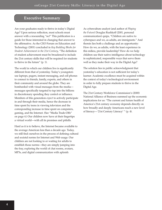## **Executive Summary**

Are your graduates ready to thrive in today's Digital Age? Upon serious reflection, most schools must answer with a resounding "no!" This publication is a guide for those interested in changing that answer to the affirmative. As the CEO Forum on Education and Technology (2001) concluded in *Key Building Blocks for Student Achievement in the 21st Century*, "The definition of student achievement must be broadened to include the 21st century skills that will be required for students to thrive in the future" (p. 1).

The world in which our children live is significantly different from that of yesterday. Today's youngsters use laptops, pagers, instant messaging, and cell phones to connect to friends, family, experts, and others in their community and around the globe. They are bombarded with visual messages from the media messages specifically targeted to tap into the billions in discretionary spending they control or influence. Members of this generation *expect* to actively participate in and through their media, hence the decrease in time spent by teens in viewing television and the corresponding increase in time spent on computers, gaming, and the Internet. (See "Media Trade-Offs" on page 4.) Our children now have at their fingertips a virtual world—with all its promises and pitfalls.

Hard as it is to believe, the Internet became available to the average American less than a decade ago. Today, we still find ourselves in the process of defining cultural and societal norms for Internet and Web usage. Our children are not looking to or waiting for adults to establish those norms—they are simply jumping into the fray, exploring the world of chat rooms, avatars, MP3s, and digital communication with aplomb.

As cyberculture analyst (and author of *Playing the Future*) Douglas Rushkoff (2001, personal communication) quips, "Children are native to cyberspace and we, as adults, are immigrants." And therein lies both a challenge and an opportunity: How do we, as adults, with the least experience in this milieu, provide leadership? How do we help children use their native intelligence about technology in sophisticated, responsible ways that serve them well as they make their way in the Digital Age?

The solution lies in public acknowledgment that yesterday's education is not sufficient for today's learner. Academic excellence must be acquired within the context of today's technological environment in order to fully prepare students to thrive in the Digital Age.

The 21st Century Workforce Commission's (2000) National Alliance of Business summed up the economic implications for us: "The current and future health of America's 21st century economy depends directly on how broadly and deeply Americans reach a new level of literacy—'21st Century Literacy' " (p. 4).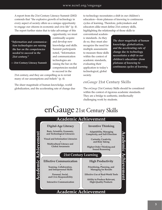A report from the 21st Century Literacy Summit (2002) contends that "the explosive growth of technology in every aspect of society offers us a unique opportunity to engage our citizens in economic and civic life" (p. 4). The report further states that to take advantage of this

*"Information and communication technologies are raising the bar on the competencies needed to succeed in the 21st century."*

**— 21st Century Literacy Summit**

opportunity, we must continually acquire and develop new knowledge and skills. Summit participants noted, "Information and communication technologies are raising the bar on the competencies needed to succeed in the

21st century, and they are compelling us to revisit many of our assumptions and beliefs" (p. 4).

The sheer magnitude of human knowledge, world globalization, and the accelerating rate of change due to technology necessitates a shift in our children's education—from plateaus of knowing to continuous cycles of learning. Therefore, policymakers and educators alike must define 21st century skills, highlighting the relationship of those skills to

conventional academic standards. As they do so, they must also recognize the need for multiple assessments to measure these skills within the context of academic standards, evaluating their application to today's technological, global society.

*The sheer magnitude of human knowledge, globalization, and the accelerating rate of change due to technology necessitates a shift in our children's education—from plateaus of knowing to continuous cycles of learning.*

## *enGauge* **21st Century Skills**

The *enGauge* 21st Century Skills should be considered within the context of rigorous academic standards. They are a bridge to authentic, intellectually challenging work by students.

# enGauge 21st Century Skills

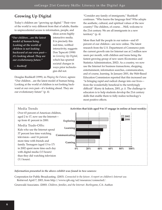# **Growing Up Digital**

Today's children are "growing up digital." Their view of the world is very different from that of adults, thanks to unprecedented access to information, people, and

*"Our children…are the latest model of human being. Looking at the world of children is not looking backward at our own past it's looking ahead. They are our evolutionary future."*

*— Rushkoff* 

ideas across highly interactive media. It is precisely this real-time, webbed interactivity, suggests Don Tapscott (1998) in *Growing Up Digital*, which has spurred societal changes in ways prior technologies did not.

Douglas Rushkoff (1999), in *Playing the Future*, agrees: "Our children…are the latest model of human being. Looking at the world of children is not looking backward at our own past—it's looking ahead. They are our evolutionary future" (p. 4).

"Consider any family of immigrants," Rushkoff continues. "Who learns the language first? Who adopts the aesthetic, cultural, and spiritual values of the new country? The children, of course….Well, welcome to the 21st century. We are all immigrants in a new territory" (p. 4).

More than half the people in our nation—and 65 percent of our children—are now online. The latest research from the U.S. Department of Commerce puts the current growth rate for Internet use at 2 million new users per month, with children and teens being the fastest growing group of new users (Economics and Statistics Administration, 2002). As a country, we now use the Internet for business transactions, shopping, entertainment, information searches, communication, and of course, learning. In January 2001, the Web-Based Education Commission reported that this increased use "is bringing rapid and radical change into our lives from the wonderfully beneficial to the terrifyingly difficult" (Kerry & Isakson, 2001, p. i). The challenge to educators is to help students develop the 21st century skills that enable them to fully realize technology's most positive effects.



#### *Information presented in the above exhibit was found in two sources:*

Corporation for Public Broadcasting. (2003). *Connected to the future: A report on children's Internet use*. Retrieved April 7, 2003, from http://www.cpb.org/ed/resources/connected/.

Grunwald Associates. (2000). *Children, families, and the Internet. Burlingame*, CA: Author.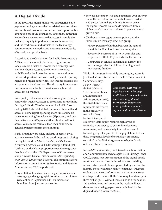# **A Digital Divide**

In the 1990s, the digital divide was characterized as a gap in technology access that translated into inequities in educational, economic, social, and civic opportunities among sectors of the population. Since then, education leaders have come to realize that access is simply the first step. Equally important are robust home access and the readiness of individuals to use technology, communication networks, and information efficiently, effectively, and productively.

According to the Corporation for Public Broadcasting's 2003 report, *Connected to the Future*, digital access today is more a factor of income than ethnicity. With children's home access to the Internet increasing, with life and school tasks becoming more and more Internet-dependent, and with quality content requiring higher and higher bandwidth, low-income students are at a potential disadvantage. This disparity is increasing the pressure on schools to provide robust Internet access for all children.

With quality, interactive content becoming increasingly bandwidth intensive, access to broadband is redefining the digital divide. The Corporation for Public Broadcasting (2003) also stated that children with broadband access at home report spending more time online (65 percent), watching less television (37percent), and getting better grades (23 percent) than children without access. While more cautious than their children, in general, parents confirm these findings.

If this situation were solely an issue of access, by all accounts we would be making good progress in closing the digital divide. *Children, Families, and the Internet* (Grunwald Associates, 2000), for example, found that "girls are on the Net in proportions equal to or greater than boys," and the U.S. Department of Commerce's study *A Nation Online: How Americans Are Expanding Their Use Of The Internet* (National Telecommunications Information Administration & Economics and Statistics Administration, 2002) reports that:

• Some 143 million Americans—regardless of income, race, age, gender, geographic location, or disability were online in September 2001, an increase of 26 million from just one year earlier.

- Between December 1998 and September 2001, Internet use in the lowest income households increased at a 25 percent annual growth rate. Internet use in the highest income households increased from a higher base but at a much slower 11 percent annual growth rate.
- Children and teenagers use computers and the Internet more than any other age group.
	- Ninety percent of children between the ages of 5 and 17 (or 48 million) now use computers.
	- Seventy-five percent of 14- to 17-year-olds and 65 percent of 10- to 13-year-olds use the Internet.
	- Computers at schools substantially narrow the gap in usage rates for children from high- and low-income families.

While this progress is certainly encouraging, access is just the first step. According to the U.S. Department of

Commerce study, *Falling Through the Net* (National Telecommunications and Information Administration, 1999), the digital divide also represents differences in the capacity to use technology tools efficiently and

*True equity will require high levels of technology proficiency to ensure broader, more meaningful, and increasingly innovative uses of technology by all segments of the population.*

effectively. True equity requires high levels of technology proficiency to ensure broader, more meaningful, and increasingly innovative uses of technology by all segments of the population. In turn, these heightened levels of technology proficiency so critical in the Digital Age—require higher levels of 21st century education.

In *Digital Transformation*, the International Information and Communication Technologies (ICT) Literacy Panel (2002), argues that our conception of the digital divide must be expanded: "A continued focus on building infrastructure should be complimented by an effort to identify those without an ability to manage, integrate, evaluate, and create information in a traditional sense and to provide them with the necessary tools to acquire these skills" (p. 1). Without these skills as a foundation, "all the hardware and access in the world will not… decrease the existing gaps currently defined by the digital divide" (Gonzalez, 2002).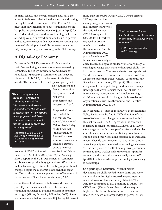In many schools and homes, students now have the access to technology that is the first step toward closing the digital divide. Now, says the CEO Forum (2001), we must shift our emphasis to "how [technology] should be applied to achieve educational objectives" (p. 3) for all. Students today are graduating from high school and attending college in record numbers. It's up to parents and educators to ensure that they're truly spending that time well, developing the skills necessary for successfully living, learning, and working in the 21st century.

# **A Digital-Age Economy**

Experts at the U.S. Department of Labor stated it best: "We are living in a new economy—powered by technology, fueled by information, and driven by knowledge" (Secretary's Commission on Achieving Necessary Skills, 1991, p. 1). Because of this, they assert, "The influence of technology will go beyond

*"We are living in a new economy—powered by technology, fueled by information, and driven by knowledge. The influence of technology will go beyond new equipment and faster communications, as work and skills will be redefined and reorganized."*

*— Secretary's Commission on Achieving Necessary Skills (SCANS), U.S. Department of Labor*

new equipment and faster communications, as work and skills will be redefined and reorganized" (p. 1).

Despite the boom and bust of the dot-com craze, a recent University of California–Berkeley study finds that "the adoption of Internet business solutions has already yielded a current, cumulative cost

savings of \$155.2 billion to U.S. organizations" (Varian, Litan, Elder, & Shutter, 2002, p. 5). *Digital Economy 2000*, a report by the U.S. Department of Commerce, attributes most productivity gains since 1995 to information technology (IT) and its resulting organizational change, despite the economic slowdown that began in 2000 and the economic repercussions of September 11 (Economics and Statistics Administration, 2002).

Given the rapid diffusion of technology during the past 30 years, many analysts have also considered technological change to be a major factor in determining wages (Mishel, Bernstein, & Boushey, 2003). Some studies estimate that, on average, IT jobs pay 85 percent more than other jobs (Pociask, 2002). *Digital Economy*

*2002* reports that the average wages per worker in IT industries are twice the national average (\$73,800 compared to \$35,000) for all workers engaged in private, nonfarm industries (Economics and Statistics Administration, 2002, p. 41). Even in non-IT industries, most analysts

*"Students require higher levels of education to succeed in the new, knowledge-based economy."*

*— CEO Forum on Education and Technology* 

agree that technologically skilled workers are likely to earn higher wages than those without such skills. The U.S. Department of Commerce also further reports that "workers who use a computer at work can earn 17 to 22 percent more than other workers" (Economics and Statistics Administration, 2002, p. 49). These same analysts note that rapid change and increased competition require that workers use their "soft skills" (e.g., interpersonal, management, and problem-solving skills) to adapt quickly to changing technologies and organizational structures (Economics and Statistics Administration, 2002, p. 49).

Even economists—such as the analysts at the Economic Policy Institute—who find it "difficult to identify the role of technological change in recent wage trends," (Mishel et al., 2003, p. 201) agree with the assertion regarding the need for soft skills. Mishel et al. (2003) cite a wage gap within groups of workers with similar education and experience as a sticking point to more cut-and-dried theories relating technology to increased wages. They do say, however, that this within-group wage inequality can be related to technological change "if it is interpreted as a reflection of growing economic returns to those worker skills (motivation, aptitudes for math, and others) that are not easily measured" (p. 203). In other words, simple technology proficiency is not enough.

So experts agree: Education—when it means developing the skills needed to live, learn, and work successfully in the Digital Age—does pay, especially in an information-based economy (Mandel, 2002). And it will continue to pay, according to others. The CEO Forum (2001) advises that "students require higher levels of education to succeed in the new knowledge-based economy. Today, 85 percent of jobs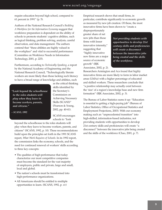require education beyond high school, compared to 61 percent in 1991" (p. 5).

Authors of the National Research Council's *Building A Workforce for the Information Economy* suggest that workforce preparation is dependent on the ability of schools to promote students' cognitive abilities, such as logical thinking, problem solving, analysis, careful observation, and data management. The authors contend that "these abilities are highly valued in the workplace" and vital to successful performance (Committee on Workforce Needs in Information Technology, 2001, p. 225).

Furthermore, according to *Technically Speaking*, a report by the National Academy of Engineering and the National Research Council, "Technologically literate workers are more likely than those lacking such literacy to have a broad range of knowledge and abilities, such

*"Look beyond the schoolhouse to the roles students will play when they leave to become workers, parents, and citizens."*

as the critical thinking skills identified by the Secretary's Commission on Achieving Necessary Skills (SCANS)" (Pearson & Young, 2002, pp. 40-41).

*– SCANS, 1992* 

SCANS encourages schools to "look

beyond the schoolhouse to the roles students will play when they leave to become workers, parents, and citizens" (SCANS, 1992, p. 10). These recommendations build upon the principles set forth in the 1991 SCANS report, *What Work Requires of Schools*. In its 1992 report, the commission links the economy, schools, and the need for continued renewal of workers' skills according to three key concepts:

- The qualities of high-performance that today characterize our most competitive companies must become the standard for the vast majority of employers, public and private, large and small, local and global.
- The nation's schools must be transformed into high-performance organizations.
- All Americans should be entitled to multiple opportunities to learn. (SCANS, 1992, p. xv)

Empirical research shows that small firms, in particular, contribute significantly to economic growth as measured by new job creation. Of these, the most innovative firms have been shown to "create a

disproportionately greater share of net new jobs than those firms with lesser innovative intensity," suggesting that "highly innovative new firms are a major source of economic growth" (BJK Associates, 2002, p. 2).

*Not providing students with opportunities to develop 21st century skills and proficiencies will create a disconnect between the innovative jobs being created and the skills of the workforce.*

Researchers Armington and Acs found that highly innovative firms are more likely to form in labor market areas (LMAs) with a higher percentage of educated and skilled workers. These researchers conclude that "a positive relationship may actually exist between the 'size' of a region's knowledge base and new firm formation" (BJK Associates, 2002, p. 3).

The Bureau of Labor Statistics sums it up: "Education is essential to getting a high-paying job" (Bureau of Labor Statistics, Office of Occupational Statistics and Employment Projections, 2003). With our economy making such an "unprecedented transition" into high-skilled, information-based industries, not providing students with opportunities to develop 21st century skills and proficiencies will create "a disconnect" between the innovative jobs being created and the skills of the workforce (Chao, 2001, p. 7).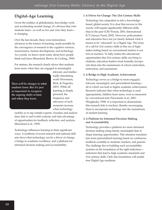# **Digital-Age Learning**

Given the realities of globalization, knowledge work, and accelerating societal change, it's obvious that *what* students learn—as well as *how* and *when* they learn is changing.

Over the last decade, there were tremendous advances in the science of learning, made possible by the convergence of research in the cognitive sciences, neuroscience, human development, and technology. As a result, we know more today about how people think and learn (Bransford, Brown, & Cocking, 1999).

For starters, the research clearly shows that students learn more when they are engaged in meaningful,

*There will be changes in* **what** *students learn. But it's just as important to recognize the ongoing shifts in* **how** *and* **when** *they learn.*

relevant, and intellectually stimulating work (Newmann, Bryk, & Nagaoka, 2001). While all learning is deeply personal, the frequency and relevance of such moments increase when technology

enables us to tap outside experts; visualize and analyze data; link to real-world contexts; and take advantage of opportunities for feedback, reflection, and analysis (Bransford et al., 1999).

Technology influences learning in three significant ways. A synthesis of recent research and national skill sets shows that technology can be a driver of change, a bridge to academic excellence, and a platform for informed decision making and accountability:

#### **1. A Driver for Change: The 21st Century Skills**

Technology has catapulted us into a knowledgebased, global society. It is clear that success in this society will require significantly different skills than in the past (CEO Forum, 2001; International ICT Literacy Panel, 2002). However, policymakers and educators have not yet clearly defined what it means to be "educated" in a Digital Age. The irony of a call for 21st century skills in this era of highstakes testing based on conventional metrics is not lost on teachers. To fully realize the educational opportunities that 21st century skills can bring to students, education leaders must formally incorporate them into the mainstream of school curriculum, instruction, and assessment.

#### **2. A Bridge to High Academic Achievement**

Technology serves as a bridge to more engaged, relevant, meaningful, and personalized learning all of which can lead to higher academic achievement. Research indicates that when technology is used appropriately, children learn more, even as measured by conventional tests (Newmann et al., 2001; Wenglinsky, 1998). It is important to demonstrate this research link to teachers, thereby encouraging them to incorporate technology into the mainstream of student learning.

#### **3. A Platform for Informed Decision Making and Accountability**

Technology provides a platform for more informed decision making using timely, meaningful data to shape learning opportunities. This situation translates into more personalized learning based on continuous feedback available to students, teachers, and parents. The challenge lies in building such accountability systems on the foundation of the right indicators indicators that lead to high academic standards and 21st century skills. Only this foundation will enable true Digital Age readiness.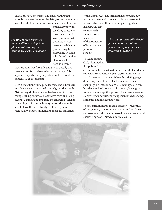Educators have no choice. The times require that schools change or become obsolete. Just as doctors must stay abreast of the latest medical research and lawyers

*It's time for the education of our children to shift from plateaus of knowing to continuous cycles of learning.* must keep up with case law, educators must stay current with practices that optimize student learning. While this practice may be happening in some schools and districts, all of our schools need to become

organizations that formally and systematically use research results to drive systemwide change. This approach is particularly important in the current era of high-stakes assessment.

Such a transition will require teachers and administrators themselves to become knowledge workers with 21st century skill sets. School leaders need to drive change, taking on new, collaborative roles and using inventive thinking to integrate the emerging "science of learning" into their school systems. All students should have the opportunity to attend dynamic, high-quality schools designed to meet the challenges

of the Digital Age. The implications for pedagogy, teacher and student roles, curriculum, assessment, infrastructure, and the community are significant.

In short, the 21st century skills should form a major part of the foundation of improvement processes in schools.

The 21st century skills identified in this publication

*The 21st century skills should form a major part of the foundation of improvement processes in schools.*

are meant to be considered in the context of academic content and standards-based reform. Examples of actual classroom practices follow the briefing pages describing each of the skills. These classrooms exemplify the ways in which 21st century skills can breathe new life into academic content, leveraging technology in ways that powerfully advance learning by strengthening student engagement in challenging, authentic, and intellectual work.

The research indicates that all children—regardless of age, gender, socioeconomic status, and academic status—can excel when immersed in such meaningful, challenging work (Newmann et al., 2001).

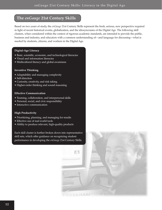# **The** *enGauge* **21st Century Skills**

Based on two years of study, the *enGauge* 21st Century Skills represent the fresh, serious, new perspective required in light of recent historical events, globalization, and the idiosyncrasies of the Digital Age. The following skill clusters, when considered within the context of rigorous academic standards, are intended to provide the public, business and industry, and educators with a common understanding of—and language for discussing—what is needed by students, citizens, and workers in the Digital Age.

or experimental

#### **Digital-Age Literacy**

- Basic, scientific, economic, and technological literacies
- Visual and information literacies
- Multicultural literacy and global awareness

#### **Inventive Thinking**

- Adaptability and managing complexity
- Self-direction
- Curiosity, creativity, and risk taking
- Higher-order thinking and sound reasoning

#### **Effective Communication**

- Teaming, collaboration, and interpersonal skills
- Personal, social, and civic responsibility
- Interactive communication

#### **High Productivity**

- Prioritizing, planning, and managing for results
- Effective use of real-world tools
- Ability to produce relevant, high-quality products

Each skill cluster is further broken down into representative skill sets, which offer guidance on recognizing student performance in developing the *enGauge* 21st Century Skills.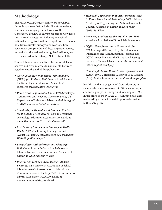# **Methodology**

The *enGauge* 21st Century Skills were developed through a process that included literature reviews, research on emerging characteristics of the Net Generation, a review of current reports on workforce trends from business and industry, analysis of nationally recognized skill sets, input from educators, data from educator surveys, and reactions from constituent groups. Many of these important works, in particular the nationally recognized skill sets, are cross-matched to the *enGauge* 21st Century Skills.

Some of these sources are listed below. A full list of sources and cross-matches to national skill sets are listed toward the end of this publication.

- *National Educational Technology Standards (NETS) for Students*, 2000, International Society for Technology in Education. Available at *cnets.iste.org/students/s\_book.html.*
- *What Work Requires of Schools*, 1991, Secretary's Commission on Achieving Necessary Skills, U.S. Department of Labor. Available at *wdr.doleta.gov/ SCANS/whatwork/whatwork.html.*
- *Standards for Technological Literacy: Content for the Study of Technology*, 2000, International Technology Education Association. Available at *www.iteawww.org/TAA/PDFs/xstnd.pdf.*
- *21st Century Literacy in a Convergent Media World*, 2002, 21st Century Literacy Summit. Available at *www.21stcenturyliteracy.org/white/ WhitePaperEnglish.pdf.*
- *Being Fluent With Information Technology*, 1999, Committee on Information Technology Literacy, National Research Council. Available at *www.nap.edu/html/beingfluent/*.
- *Information Literacy Standards for Student Learning*, 1998, American Association of School Librarians (AASL), Association of Educational Communications Technology (AECT), and American Library Association (ALA). Available at *www.ala.org/aasl/ip\_nine.html*.
- *Technically Speaking: Why All Americans Need to Know More About Technology*, 2002. National Academy of Engineering and National Research Council. Available at *www.nap.edu/books/ 0309082625/html/*.
- *Preparing Students for the 21st Century*, 1996, American Association of School Administrators.
- *Digital Transformation: A Framework for ICT Literacy*, 2002. Report by the International Information and Communication Technologies (ICT) Literacy Panel for the Educational Testing Service (ETS). Available at. *www.ets.org/research/ ictliteracy/ictreport.pdf*.
- *How People Learn: Brain, Mind, Experience, and School*, 1999. J. Bransford, A. Brown, & R. Cocking (Eds.). Available at *www.nap.edu/html/howpeople1/*.

In addition, data was gathered from educators at state-level conference sessions in 10 states, surveys, and focus groups in Chicago and Washington, D.C. Initial drafts of the *enGauge* 21st Century Skills were reviewed by experts in the field prior to inclusion in the *enGauge* list.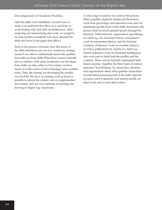#### **Development of Student Profiles**

After the skills were identified, a second wave of study was conducted that drew on a vast body of work dealing with each skill (see References). After analyzing and summarizing that work, we sought to develop profiles of students who have obtained the skills (see boxes in the pages that follow).

Early in the process, it became clear that many of the skills identified were not new constructs; existing research was able to substantially inform the qualities that make up those skills. What these sources typically did not address (with some exceptions) was the shape these skills can take, either in 21st century environments or in the context of the technology tools available today. Thus, the strategy for developing the profiles was twofold: We drew on existing work as much as possible to inform the content, and we supplemented this content with our own expertise on teaching and learning in Digital Age classrooms.

A wide range of sources was used in this process. When possible, empirical studies and theoretical work from psychology and education were used for generating specific facets of the skills. Sometimes this process itself involved repeated passes through the literature. Publications by organizations specializing in a skill (e.g., the American Library Association's work on information literacy, and the National Academy of Sciences' work on scientific literacy), as well as publications by experts in a field (e.g., Daniel Goleman's work on emotional intelligence), also were used to build both the profiles and the continua. These sources typically represented fieldbased expertise. Together, the three types of sources represent "best thinking" by researchers, theorists, and organizations about what qualities characterize an individual possessing each of the skills. (Specific resources used to generate each student profile are listed at the end of each skill section.)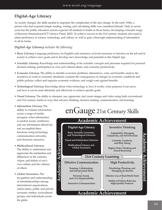# **Digital-Age Literacy**

As society changes, the skills needed to negotiate the complexities of life also change. In the early 1900s, a person who had acquired simple reading, writing, and calculating skills was considered literate. Only in recent years has the public education system expected all students to build on those basics, developing a broader range of literacies (International ICT Literacy Panel, 2002). To achieve success in the 21st century, students also need to attain proficiency in science, technology, and culture, as well as gain a thorough understanding of information in all its forms.

### *Digital-Age Literacy includes the following:*

- *Basic Literacy:* Language proficiency (in English) and numeracy at levels necessary to function on the job and in society to achieve one's goals and to develop one's knowledge and potential in this Digital Age.
- *Scientific Literacy:* Knowledge and understanding of the scientific concepts and processes required for personal decision making, participation in civic and cultural affairs, and economic productivity.
- *Economic Literacy:* The ability to identify economic problems, alternatives, costs, and benefits; analyze the incentives at work in economic situations; examine the consequences of changes in economic conditions and public policies; collect and organize economic evidence; and weigh costs against benefits.
- *Technological Literacy:* Knowledge about what technology is, how it works, what purposes it can serve, and how it can be used efficiently and effectively to achieve specific goals.
- *Visual Literacy:* The ability to interpret, use, appreciate, and create images and video using both conventional and 21st century media in ways that advance thinking, decision making, communication, and learning.
- *Information Literacy:* The ability to evaluate information across a range of media; recognize when information is needed; locate, synthesize, and use information effectively; and accomplish these functions using technology, communication networks, and electronic resources.
- *Multicultural Literacy:* The ability to understand and appreciate the similarities and differences in the customs, values, and beliefs of one's own culture and the cultures of others.
- *Global Awareness:* The recognition and understanding of interrelationships among international organizations, nation-states, public and private economic entities, sociocultural groups, and individuals across the globe.

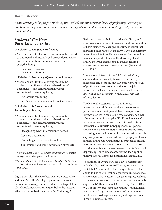## **Basic Literacy**

*Basic literacy is language proficiency (in English) and numeracy at levels of proficiency necessary to function on the job and in society to achieve one's goals and to develop one's knowledge and potential in this Digital Age.*

### *Students Who Have Basic Literacy Skills:*

#### **In Relation to Language Proficiency**

- Meet standards for the following areas in the context of traditional and media-based prose\*, documents\*\*, and communication venues encountered in everyday living:
	- Reading Writing
	- Listening Speaking

#### **In Relation to Numeracy (Quantitative Literacy)**

- Meet standards for the following areas in the context of traditional and media-based prose\*, documents\*\*, and communication venues encountered in everyday living:
	- Arithmetic computing
	- Mathematical reasoning and problem solving

#### **In Relation to Information and Technological Literacy**

- Meet standards for the following areas in the context of traditional and media-based prose\*, documents\*\*, and communication venues encountered in everyday living:
	- Recognizing when information is needed
	- Locating information
	- Evaluating all forms of information
	- Synthesizing and using information effectively
- *\* Prose includes (but is not limited to) literature, editorials, newspaper articles, poems, and stories*
- *\*\* Documents include print and media-based artifacts, such as job applications, bus schedules, maps, checks, tax forms, and tables.*

Digitization blurs the lines between text, voice, video, and data. Now they're all just packets of electronic information across global networks. The interpretation of such multimedia communiqués belies the question: What constitutes basic literacy in the Digital Age?

Basic literacy—the ability to read, write, listen, and speak—is more important than ever, and the definition of basic literacy has changed over time to reflect that increasing importance. In the early 1900s, basic literacy meant the ability to write one's name. That definition was later expanded to mean the decoding of text, and by the 1930s it had come to include reading and expressing oneself through writing (Bransford et al., 1999).

The National Literacy Act of 1991 defined *literacy* as "an individual's ability to read, write, and speak in English, and compute and solve problems at levels of proficiency necessary to function on the job and in society to achieve one's goals, and develop one's knowledge and potential" (National Literacy Act of 1991, Sec. 3).

The National Assessment of Adult Literacy measures basic adult literacy along three scales prose, document, and quantitative—composed of literacy tasks that simulate the types of demands that adults encounter in everyday life. Prose literacy tasks include understanding and using information from texts such as editorials, newspaper articles, poems, and stories. Document literacy tasks include locating and using information found in common artifacts such as job applications, bus schedules, maps, payroll forms, indexes, and tables. Quantitative literacy tasks include performing arithmetic operations required as prose and documents encountered in everyday life (e.g., bank deposit slips, checkbooks, order forms, loan applications) (National Center for Education Statistics, 2003).

The authors of *Digital Transformation*, a recent report published by the Educational Testing Service's Center for Global Assessment, define today's literacy as the ability to use "digital technology, communications tools, and/or networks to access, manage, integrate, evaluate, and create information in order to function in a knowledge society" (International ICT Literacy Panel, 2002, p. 2). In other words, although reading, writing, listening, and speaking are paramount, today's students must be able to decipher meaning and express ideas through a range of media.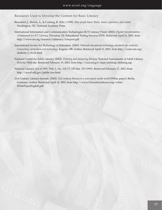#### **Resources Used to Develop the Content for Basic Literacy**

- Bransford, J., Brown, A., & Cocking, R. (Eds.) (1999). *How people learn: Brain, mind, experience, and school*. Washington, DC: National Academy Press.
- International Information and Communication Technologies (ICT) Literacy Panel. (2002). *Digital transformation: A framework for ICT Literacy*. Princeton, NJ: Educational Testing Services (ETS). Retrieved April 11, 2003, from http://www.ets.org/research/ictliteracy/ictreport.pdf
- International Society for Technology in Education. (2000). *National educational technology standards for students: Connecting curriculum and technology*. Eugene, OR: Author. Retrieved April 11, 2003, from http://cnets.iste.org/ students/s\_book.html
- National Center for Adult Literacy. (2002). *Defining and measuring literacy*. National Assessments of Adult Literacy (NAAL) Web site. Retrieved February 19, 2003, from http://nces.ed.gov/naal/defining/defining.asp
- National Literacy Act of 1991, Pub. L. No. 102-73, 105 Stat. 333 (1991). Retrieved February 17, 2003, from http://novel.nifl.gov/public-law.html
- 21st Century Literacy Summit. (2002). *21st century literacy in a convergent media world* [White paper]. Berlin, Germany: Author. Retrieved April 14, 2003, from http://www.21stcenturyliteracy.org/white/ WhitePaperEnglish.pdf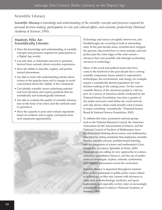## **Scientific Literacy**

*Scientific literacy is knowledge and understanding of the scientific concepts and processes required for personal decision making, participation in civic and cultural affairs, and economic productivity (National Academy of Sciences, 1995).*

#### *Students Who Are Scientifically Literate:*

- Have the knowledge and understanding of scientific concepts and processes required for participation in a Digital Age society.
- Can ask, find, or determine answers to questions derived from curiosity about everyday experiences.
- Have the ability to describe, explain, and predict natural phenomena.
- Are able to read with understanding articles about science in the popular press and to engage in social conversation about the validity of the conclusions.
- Can identify scientific issues underlying national and local decisions and express positions that are scientifically and technologically informed.
- Are able to evaluate the quality of scientific information on the basis of its source and the methods used to generate it.
- Have the capacity to pose and evaluate arguments based on evidence and to apply conclusions from such arguments appropriately.



Technology and science are tightly interwoven, and breakthroughs are occurring in both at astounding rates. In the past decade alone, scientists have mapped the genome, discovered how to clone animals, and sent probes past the outer edges of the solar system advances that were possible only through accelerating advances in technology.

Many of the social and political issues that have come to the forefront in the past decade have a strong scientific component. Issues related to reproductive technologies, the environment, and energy, for example, require a scientifically literate population for wise decision making in the coming years. Yet the current scientific literacy of the American people is a bit suspect. In a survey of American adults conducted by the National Science Foundation, less than a quarter of the adults surveyed could define the word *molecul*e, and only about a third could describe what it means to study something "scientifically" (National Science Board & National Science Foundation, 2002).

To address this issue, prominent national groups such as the National Research Council, the American Association for the Advancement of Science, and the National Council of Teachers of Mathematics have revolutionized thinking about science and mathematics education by setting standards that emphasize scientific inquiry, scientific process, problem-based learning, and the integration of science and mathematics (Linn, Kessel, Lee, Levenson, Spitulnik, & Slotta, 2000). These groups are calling for new approaches to science, numeracy (quantitative literacy), and the use of mathematics to investigate, explore, estimate, systematize, and visualize phenomena across the curriculum.

Scientific literacy is important throughout students' lives as they participate in public policy issues related to technology; as they stay current with advances in areas such as biotechnology, medicine, and space exploration; and especially as they enter an increasingly scientifically based workforce (National Academy of Sciences, 1995).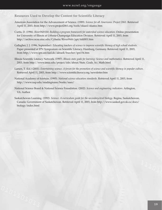#### **Resources Used to Develop the Content for Scientific Literacy**

- American Association for the Advancement of Science. (1989). *Science for all Americans: Project 2061*. Retrieved April 11, 2003, from http://www.project2061.org/tools/sfaaol/sfaatoc.htm
- Curtis, D. (1996). *RiverWebSM: Building a program framework for watershed science education*. Online presentation for University of Illinois at Urbana-Champaign Education Division. Retrieved April 11, 2003, from http://archive.ncsa.uiuc.edu/Cyberia/RiverWeb/ppt/tsld001.htm
- Gallagher, J. J. (1996, September). *Educating teachers of science to improve scientific literacy of high school students*. Paper presented at IPN Symposium on Scientific Literacy, Hamburg, Germany. Retrieved April 11, 2003, from http://www.ipn.uni-kiel.de/aktuell/buecher/ipn154.htm
- Illinois Scientific Literacy Network. (1997). *Illinois state goals for learning: Science and mathematics*. Retrieved April 11, 2003, from http://www.imsa.edu/project/isln/about/State\_Goals\_Sci\_Math.html
- Larsen, T. (Ed.) (2001). *Entertaining science: A forum for the promotion of science and scientific literacy in popular culture*. Retrieved April 11, 2003, from http://www.scientificliteracy.org/newsletter.htm
- National Academy of Sciences. (1995). *National science education standards*. Retrieved April 11, 2003, from http://www.nap.edu/readingroom/books/nses/
- National Science Board & National Science Foundation. (2002). *Science and engineering indicators*. Arlington, VA: Author.
- Saskatchewan Learning. (1992). *Science: A curriculum guide for the secondary-level biology*. Regina, Saskatchewan, Canada: Government of Saskatchewan. Retrieved April 11, 2003, from http://www.sasked.gov.sk.ca/docs/ biology/index.html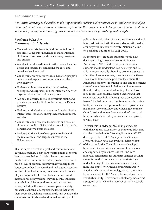## **Economic Literacy**

*Economic literacy is the ability to identify economic problems, alternatives, costs, and benefits; analyze the incentives at work in economic situations; examine the consequences of changes in economic conditions and public policies; collect and organize economic evidence; and weigh costs against benefits.* 

#### *Students Who Are Economically Literate:*

- Can evaluate costs, benefits, and the limitations of resources, using this knowledge to make informed choices as consumers, producers, savers, investors, and citizens.
- Are able to evaluate different methods for allocating goods and services by comparing the costs and benefits of each method.
- Can identify economic incentives that affect people's behavior and explain how incentives affect their own behavior.
- Understand how competition, trade barriers, shortages and surpluses, and the interaction between buyers and sellers can influence prices.
- Are able to describe the roles of various public and private economic institutions, including the Federal Reserve.
- Understand the basics of income and its distribution, interest rates, inflation, unemployment, investment, and risk.
- Can identify and evaluate the benefits and costs of alternative public policies, and assess who enjoys the benefits and who bears the costs.
- Understand the value of entrepreneurialism and the roles of small and large businesses in the U.S. economy.

Thanks in part to technological and communications advances, ordinary people are wearing more economic hats than ever before. In their roles as consumers, producers, workers, and investors, productive citizens need a level of economic literacy that will help them better comprehend the world and make good decisions for the future. Furthermore, because economic issues play an important role in local, state, national, and international policymaking, they frequently influence voter choices. A better understanding of economic issues, including the role businesses play in society, can enable citizens to recognize the forces that affect them every day, helping them identify and evaluate the consequences of private decision making and public

policies. It is only when citizens are articulate and well informed that the institutions of a democratic market economy will function effectively (National Council on Economic Education [NCEE], 2003).

By the time they graduate, students should have developed a high degree of economic literacy. According to NCEE and its corporate sponsors, students should understand basic concepts and be able to reason logically about key economic issues that affect their lives as workers, consumers, and citizens. They should know some pertinent facts about the American economy—including its size and the current rates of unemployment, inflation, and interest—and they should have an understanding of what those facts mean. Last, students should understand that economists often hold differing views on economic issues. This last understanding is especially important for topics such as the appropriate size of government in a market economy, how and when a government should deal with unemployment and inflation, and how and when it should promote economic growth (NCEE, 2003).

To foster this knowledge, NCEE, in partnership with the National Association of Economic Educators and the Foundation for Teaching Economics (1996), developed a list of 20 *Voluntary National Content Standards in Economics* (see profile at left for eight of these standards). The full version—developed by a panel of economists and economic educators and supported by business leaders—includes rationale, benchmarks for students, samples of what students can do to enhance or demonstrate their understanding of economic issues, resources, and more (see http://www.ncee.net/ea/standards/). Another rich source of technology-based, economic lesson materials for K–12 students and educators is EconEdLink (http://www.econedlink.org/index.cfm), a program of NCEE and a member of the MarcoPolo consortium.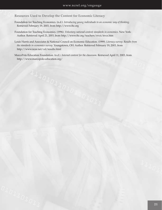**Resources Used to Develop the Content for Economic Literacy**

- Foundation for Teaching Economics. (n.d.). *Introducing young individuals to an economic way of thinking*. Retrieved February 19, 2003, from http://www.fte.org
- Foundation for Teaching Economics. (1996). *Voluntary national content standards in economics*. New York: Author. Retrieved April 21, 2003, from http://www.fte.org/teachers/nvcs/nvcs.htm
- Louis Harris and Associates & National Council on Economic Education. (1999). *Literacy survey: Results from the standards in economics survey*. Youngstown, OH: Author. Retrieved February 19, 2003, from http://www.ncee.net/cel/results.html
- MarcoPolo Education Foundation. (n.d.). *Internet content for the classroom*. Retrieved April 11, 2003, from http://www.marcopolo-education.org/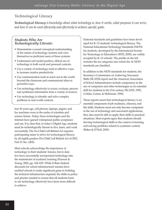## **Technological Literacy**

*Technological literacy is knowledge about what technology is, how it works, what purposes it can serve, and how it can be used efficiently and effectively to achieve specific goals.*

#### *Students Who Are Technologically Literate:*

- Demonstrate a sound conceptual understanding of the nature of technology systems and view themselves as proficient users of these systems.
- Understand and model positive, ethical use of technology in both social and personal contexts.
- Use a variety of technology tools in effective ways to increase creative productivity.
- Use communication tools to reach out to the world beyond the classroom and communicate ideas in powerful ways.
- Use technology effectively to access, evaluate, process and synthesize information from a variety of sources.
- Use technology to identify and solve complex problems in real-world contexts.

Just 20 years ago, cell phones, laptops, pagers, and fax machines were in the realm of scientists and science fiction. Today, those technologies and the Internet have gained widespread public acceptance and use. It is clear that, in today's Digital Age, students must be technologically literate to live, learn, and work successfully. The No Child Left Behind Act requires participating states to strive for technological literacy by all eighth graders (No Child Left Behind Act of 2001, Part D, Sec. 2402).

Most schools acknowledge the importance of technology to their students' futures, but to date few have successfully incorporated technology into the mainstream of academic learning (Pearson & Young, 2002, pp. 104-105). While E-Rate (federal discounts for school infrastructure) monies have enabled schools to make significant gains in building the technical infrastructure required, the shifts in policy and practice needed to ensure that all students learn to use technology effectively have been more difficult to achieve.

National standards and guidelines have been developed for K–12 students' technological literacy. The National Educational Technology Standards (NETS) for students, developed by the International Society for Technology in Education's (ISTE, 2000), are widely accepted by K–12 schools. The profile on the left includes the six categories into which the 14 NETS standards are classified.

In addition to the NETS standards for students, the Secretary's Commission on Achieving Necessary Skills (SCANS) report and the American Association of School Administrators include competency in the use of computers and other technologies as an essential skill for students in the 21st century (SCANS, 1992; Uchida, Cetron, & McKenzie, 1996).

These reports assert that technological literacy is an essential component of job readiness, citizenry, and life skills. Students must not only become competent in the use of technology and associated applications, they also must be able to apply their skills to practical situations. Most experts agree that students should develop technological skills in the context of learning and solving problems related to academic content (Baker & O'Neil, 2003).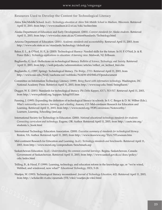**Resources Used to Develop the Content for Technological Literacy**

- Akira Toki Middle School. (n.d.). *Technology education at Akira Toki Middle School in Madison, Wisconsin*. Retrieved April 11, 2003, from http://www.madison.k12.wi.us/toki/tecliter.htm
- Alaska Department of Education and Early Development. (2001). *Content standards for Alaska students*. Retrieved April 11, 2003, from http://www.educ.state.ak.us/ContentStandards/Technology.html
- Arizona Department of Education. (2001). *Academic standards and accountability*. Retrieved April 11, 2003, from http://www.ade.state.az.us/standards/technology/default.asp
- Baker, E. L., & O'Neil, H. F., Jr. (2003). Technological fluency: Needed skills for the future. In H. F. O'Neil, Jr. & R. Perez (Eds.), *Technology applications in education: A learning view*. Mahwah, NJ: Erlbaum.
- Bugliarello, G. (n.d.) Reflections on technological literacy. *Bulletin of Science, Technology, and Society*. Retrieved April 11, 2003, from http://web.poly.edu/administration/articles/reflect\_on\_technol\_liter.cfm
- Bugliarello, G. (1997, Spring). Technological literacy. *The Bridge*, *27*(1). Retrieved April 11, 2003, from http://www.nae.edu/NAE/naehome.nsf/weblinks/NAEW-4NHML6?Opendocument
- Committee on Information Technology Literacy. (1999). *Being fluent with information technology*. Washington, DC: National Academy Press. Retrieved April 11, 2003, from http://www.nap.edu/html/beingfluent/
- Dugger, W. E. (2001). Standards for technological literacy. *Phi Delta Kappan*, *82(7)*, 513-517. Retrieved April 11, 2003, from http://www.pdkintl.org/kappan/kdug0103.htm
- Fanning, J. (1995). Expanding the definition of technological literacy in schools. In S. C. Berger & D. M. Wilber (Eds.), *What's noteworthy on learners, learning, and schooling*. Aurora, CO: Mid-continent Research for Education and Learning. Retrieved April 11, 2003, from http://www.mcrel.org/PDFConversion/Noteworthy/ Learners\_Learning\_Schooling/jimf.asp
- International Society for Technology in Education. (2000). *National educational technology standards for students: Connecting curriculum and technology*. Eugene, OR: Author. Retrieved April 11, 2003, from http://cnets.iste.org/ students/s\_book.html
- International Technology Education Association. (2000). *Executive summary of standards for technological literacy*. Reston, VA: Author. Retrieved April 11, 2003, from http://www.iteawww.org/TAA/STLexesum.htm
- Mid-continent Research for Education and Learning. (n.d.). *Technology standards and benchmarks*. Retrieved April 11, 2003, from http://www.mcrel.org/compendium/benchmark.asp
- Saskatchewan Education. (n.d.). *Understanding the common essential learnings*. Regina, Saskatchewan, Canada: Government of Saskatchewan. Retrieved April 11, 2003, from http://www.sasked.gov.sk.ca/docs/policy/ cels/index.html
- Trilling, B., & Hood, P. (1999). Learning, technology, and education reform in the knowledge age, or "we're wired, Webbed, and windowed, now what?" *Educational Technology*, *39*(3), 5-18.
- Waetjen, W. (1993). Technological literacy reconsidered. *Journal of Technology Education*, *4*(2). Retrieved April 11, 2003, from http://scholar.lib.vt.edu/ejournals/JTE/v4n2/waetjen.jte-v4n2.html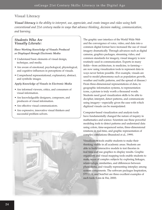## **Visual Literacy**

*Visual literacy is the ability to interpret, use, appreciate, and create images and video using both conventional and 21st century media in ways that advance thinking, decision making, communication, and learning.*

#### *Students Who Are Visually Literate:*

*Have Working Knowledge of Visuals Produced or Displayed through Electronic Media*

- Understand basic elements of visual design, technique, and media.
- Are aware of emotional, psychological, physiological, and cognitive influences in perceptions of visuals.
- Comprehend representational, explanatory, abstract, and symbolic images.

#### *Apply Knowledge of Visuals in Electronic Media*

- Are informed viewers, critics, and consumers of visual information.
- Are knowledgeable designers, composers, and producers of visual information.
- Are effective visual communicators.
- Are expressive, innovative visual thinkers and successful problem solvers.



The graphic user interface of the World Wide Web and the convergence of voice, video, and data into a common digital format have increased the use of visual imagery dramatically. Through advances such as digital cameras, graphics packages, streaming video, and common standards for imagery, visual imagery is now routinely used in communication. Experts in many fields—from architecture, to medicine, to farming are now using visualization tools to represent data in ways never before possible. (For example, visuals are used to model phenomena such as population growth, weather and traffic patterns, and the spread of disease.) From three-dimensional representations of data, to geographic information systems, to representation icons, a picture is truly worth a thousand words. Students need good visualization skills to be able to decipher, interpret, detect patterns, and communicate using imagery—especially given the ease with which digitized visuals can be manipulated.

Computer-based visualization and analysis tools have fundamentally changed the nature of inquiry in mathematics and science. Scientists use these powerful modeling tools to detect patterns and understand data using colors, time-sequenced series, three-dimensional rotations in real-time, and graphic representation of complex correlations (Bransford et al., 1999).

Visualization tools enable students to make their thinking visible in all academic areas. Students are able to build interactive models to test theories in real time and use graphics to display results. Graphic organizers and visual mapping tools enable students to make sense of complex subjects by exploring linkages, relationships, similarities, and differences between phenomena, and visually representing interplay among system components. The software packages Inspiration, STELLA, and SemNet are three excellent examples of such tools (Linn & Hsi, 2000).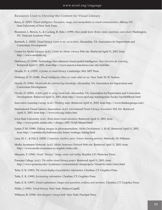#### **Resources Used to Develop the Content for Visual Literacy**

- Barry, A. (1997). *Visual intelligence: Perception, image, and manipulation in visual communication*. Albany, NY: State University of New York Press.
- Bransford, J., Brown, A., & Cocking, R. (Eds.). (1999). *How people learn: Brain, mind, experience, and school.* Washington, DC: National Academy Press.
- Burmark, L. (2002). *Visual literacy: Learn to see, see to learn*. Alexandria, VA: Association for Supervision and Curriculum Development.
- Center for Media Literacy. (n.d.). *Center for Media Literacy* Web site. Retrieved April 11, 2003, from http://www.medialit.org
- Dickinson, D. (1998). Technology that enhances visual-spatial intelligence. *New Horizons for Learning*. Retrieved April 21, 2003, from http://www.america-tomorrow.com/ati/mi4.htm

Dondis, D. A. (1970). *A primer of visual literacy*. Cambridge, MA: MIT Press.

- Hoffman, D. D. (1998). *Visual intelligence: How we create what we see*. New York: W. W. Norton.
- Hyerle, D. (1996). *Visual tools for constructing knowledge*. Alexandria, VA: Association for Supervision and Curriculum Development.
- Hyerle, D. (2000). *A field guide to using visual tools*. Alexandria, VA: Association for Supervision and Curriculum Development. Retrieved April 11, 2003, from http://www.ascd.org/readingroom/books/hyerle00book.html

Innovative Learning Group. (n.d.). *Thinking maps*. Retrieved April 11, 2003, from http://www.thinkingmaps.com/

- International Visual Literacy Association. (n.d.). *International Visual Literacy Association Web Site*. Retrieved April 11, 2003, from http://www.ivla.org/index.htm
- Iowa State University. (n.d.). *Brain-based visual education*. Retrieved April 11, 2003, from http://www.public.iastate.edu/~design/ART/NAB/bbased.html
- Lester, P. M. (1988). Faking images in photojournalism. *Media Development, 1*, 41-42. Retrieved April 11, 2003, from http://commfaculty.fullerton.edu/lester/writings/faking.html
- Linn, M. C., & Hsi, S. (2000). C*omputers, teachers, peers: Science learning partners*. Mahwah, NJ: Erlbaum.
- Media Awareness Network. (n.d.). *Media Awareness Network* Web site. Retrieved April 11, 2003, from http://www.media-awareness.ca/english/index.cfm
- Messaris, P. (1994). *Visual "literacy": Image, mind, and reality*. Boulder, CO: Westview Press.
- Pomona College. (n.d.). *The online visual literacy project*. Retrieved April 11, 2003, from http://www.pomona.edu/Academics/courserelated/classprojects/Visual-lit/intro/intro.html
- Tufte, E. R. (1983). *The visual display of quantitative information*. Cheshire, CT: Graphics Press.
- Tufte, E. R. (1990). *Envisioning information*. Cheshire, CT: Graphics Press.
- Tufte, E. R. (1997). *Visual explanations: Images and quantities, evidence and narrative*. Cheshire, CT: Graphics Press.
- Wilde, J. (1991). *Visual literacy*. New York: Watson-Guptill.
- Williams, R. (1994). *Non-designer's design book*. New York: Peachpit Press.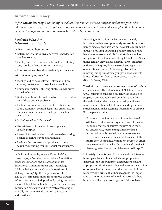## **Information Literacy**

*Information literacy is the ability to evaluate information across a range of media; recognize when information is needed; locate, synthesize, and use information effectively; and accomplish these functions using technology, communication networks, and electronic resources.*

#### *Students Who Are Information Literate:*

#### *Before Accessing Information*

- Determine what is known and what is needed for problem solving.
- Identify different sources of information, including text, people, video, audio, and databases.
- Prioritize sources based on credibility and relevance.

#### *When Accessing Information*

- Identify and retrieve relevant information from sources; use technology to enhance searching.
- Revise information-gathering strategies that prove to be ineffective.
- Understand how information retrieved does or does not address original problem.
- Evaluate information in terms of credibility and social, economic, political, legal, and ethical issues that may impact it; use technology to facilitate evaluation.

#### *After Information Is Extracted*

- Use retrieved information to accomplish a specific purpose.
- Present information clearly and persuasively using a range of technology tools and media.
- Evaluate the processes and products of these activities, including resulting social consequences.

In their publication I*nformation Power: Building Partnerships for Learning*, the American Association of School Librarians and the Association for Educational Communications and Technology (1998) called *information literacy* "a keystone of lifelong learning" (p. 1). The publication also lists 12 key standards under three umbrella areas: information literacy, independent learning, and social responsibility. Information literacy includes accessing information efficiently and effectively, evaluating it critically and competently, and using it accurately and creatively.

Accessing information has become increasingly important as databases previously accessible only to library media specialists are now available to students directly. Browsing, searching, and navigating online have become essential skills for all students, as has recognition of the limitations of digital archives. (Some things remain unavailable electronically.) Familiarity with natural inquiry, Boolean search strategies, and organizational systems (cataloging, abstracting, indexing, rating) is extremely important as students locate information from sources across the globe (Brem & Boyes, 2000).

The digitizing of resources raises new issues of analysis and evaluation. The International ICT Literacy Panel (2002) asks us to consider a student who is asked to prepare a presentation based on information from the Web. That student can access vast quantities of information without a lot of understanding, because search engines make accessing information so simple. But the panel cautions:

Using search engines well requires an increased skill level. Evaluating and synthesizing information found in a variety of sources requires even more advanced skills, representing a literacy that is far beyond what is needed in a more constrained environment, such as with textbooks where all the information is contained within one source. In effect, because technology makes the simple tasks easier, it places a greater burden on higher-level skills (p. 6).

Ultimately, students need to understand the interrelationships between library collections, proprietary databases, and other Internet documents to ensure appropriate, effective searching and accurate evaluation of sources. Furthermore, as students access electronic resources, it is critical that they recognize the importance of honoring the intellectual property of others by strictly adhering to copyright and fair-use laws.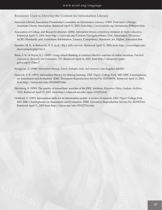#### **Resources Used to Develop the Content for Information Literacy**

- American Library Association Presidential Committee on Information Literacy. (1989). *Final report*. Chicago: American Library Association. Retrieved April 11, 2003, from http://www.infolit.org/documents/89Report.htm
- Association of College and Research Libraries. (2000). *Information literacy competency standards for higher education*. Retrieved April 11, 2003, from http://www.ala.org/Content/NavigationMenu/Our\_Association/Divisions/ ACRL/Standards\_and\_Guidelines/Information\_Literacy\_Competency\_Standards\_for\_Higher\_Education.htm
- Eisenber, M. B., & Berkowitz, R. E. (n.d.). *Big 6 skills overview*. Retrieved April 11, 2003, from http://www.big6.com/ showcategory.php?cid=6
- Brem, S. K., & Boyes, A. J. (2000). Using critical thinking to conduct effective searches of online resources. *Practical Assessment, Research, and Evaluation, 7*(7). Retrieved April 11, 2003, from http://ericae.net/pare/ getvn.asp?v=7&n=7
- Ercegovac, Z. (1998). *Information literacy: Search strategies, tools, and resources*. Los Angeles: InfoEN.
- Hancock, V. E. (1993). Information literacy for lifelong learning. *ERIC Digest*. College Park, MD: ERIC Clearinghouse on Assessment and Evaluation. (ERIC Document Reproduction Service No. ED358870). Retrieved April 11, 2003, from http://ericae.net/edo/ED358870.htm
- Hertzberg, S. (1999). The quality of researchers' searches of the ERIC database. *Education Policy Analysis Archives*, *7*(25). Retrieved April 11, 2003, from http://olam.ed.asu.edu/epaa/v7n25.html
- Hubbard, S. (1987). Information skills for an information society: A review of research. *ERIC Digest*. College Park, MD: ERIC Clearinghouse on Assessment and Evaluation. (ERIC Document Reproduction Service No. ED327216). Retrieved April 11, 2003 from http://ericae.net/edo/ED327216.htm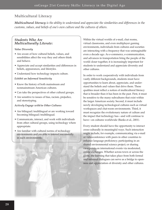## **Multicultural Literacy**

*Multicultural literacy is the ability to understand and appreciate the similarities and differences in the customs, values, and beliefs of one's own culture and the cultures of others.*

#### *Students Who Are Multiculturally Literate:*

#### *Value Diversity*

- Are aware of how cultural beliefs, values, and sensibilities affect the way they and others think and behave.
- Appreciate and accept similarities and differences in beliefs, appearances, and lifestyles.
- Understand how technology impacts culture.

#### *Exhibit an Informed Sensitivity*

- Know the history of both mainstream and nonmainstream American cultures.
- Can take the perspectives of other cultural groups.
- Are sensitive to issues of bias, racism, prejudice, and stereotyping.

#### *Actively Engage with/in Other Cultures*

- Are bilingual/multilingual or are working toward becoming bilingual/multilingual.
- Communicate, interact, and work with individuals from other cultural groups, using technology where appropriate.
- Are familiar with cultural norms of technology environments and are able to interact successfully in such environments.



Within the virtual worlds of e-mail, chat rooms, virtual classrooms, and even multiplayer gaming environments, individuals from cultures and societies are interacting with a frequency that was unimaginable even a decade ago. As e-commerce, e-communication, and advances in transportation bring the people of the world closer together, it is increasingly important for students to understand and appreciate diversity and other cultures.

In order to work cooperatively with individuals from vastly different backgrounds, students must have opportunities to learn about, appreciate, and understand the beliefs and values that drive them. These qualities must reflect a notion of multicultural literacy that is broader than it has been in the past. First, it must be sensitive to the many subcultures that exist within the larger American society. Second, it must include newly developing technological cultures such as virtual workspaces and chat-room environments. Third, it must recognize the evolutionary nature of culture and the impact that technology has—and will continue to have—on cultures worldwide (Banks et al., 2001).

Every student should have the opportunity to interact cross-culturally in meaningful ways. Such interaction might include, for example, communicating via e-mail or videoconference with peers in other countries to enhance language proficiency; participating in an shared environmental science project; or sharing viewpoints on international events via moderated, online exchanges. Whether across town or across the globe, the learning that takes place from both formal and informal dialogues can serve as a bridge to openness and appreciation of diversity and other cultures.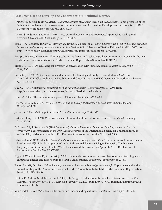#### **Resources Used to Develop the Content for Multicultural Literacy**

- Anicich, M., & Kirk, R. (1999, March). *Cultural awareness education in early childhood education*. Paper presented at the 54th annual conference of the Association for Supervision and Curriculum Development, San Francisco. (ERIC Document Reproduction Service No. ED433928)
- Arvizu, S., & Saravia-Shore, M. (1990). Cross-cultural literacy: An anthropological approach to dealing with diversity. *Education and Urban Society*, *22*(4), 364-376.
- Banks, J. A., Cookson, P., Gay, G., Hawley, W., Irvine, J. J., Nieto, et al. (2001). *Diversity within unity: Essential principles for teaching and learning in a multicultural society*. Seattle, WA: University of Seattle. Retrieved April 11, 2003, from http://www.educ.washington.edu/COEWebSite/programs/ci/publications/dwu.htm
- Beaupre, B. (2000, November). Blending cultural, academic, and technological communication: Literacy for the new millennium. *Research in Education*. (ERIC Document Reproduction Service No. ED441234)
- Brandt, R. (1994). On educating for diversity: A conversation with James A. Banks. *Educational Leadership*, *51*(8), 28-31.
- Burnette, J. (1999). Critical behaviors and strategies for teaching culturally diverse students. *ERIC Digest*. New York: ERIC Clearinghouse on Disabilities and Gifted Education. (ERIC Document Reproduction Service No. ED435147)
- Gay, G. (1994). *A synthesis of scholarship in multicultural education*. Retrieved April 11, 2003, from http://www.ncrel.org/sdrs/areas/issues/educatrs/leadrshp/le0gay.htm
- Gura, M. (1994). The human mosaic project. *Educational Leadership, 51*(8), 40-1.
- Hirsch, E. D., Kett, J. F., & Trefil, J. S. (1987). *Cultural literacy: What every American needs to know*. Boston: Houghton Mifflin.
- Janzen, R. (1994). Melting pot or mosaic? *Educational Leadership, 51*(8), 9-11.
- Ladson-Billings, G. (1994). What we can learn from multicultural education research. *Educational Leadership*, *51*(8), 22-26.
- Parkinson, W., & Saunders, S. (1999, September). *Cultural literacy and languages: Enabling students to learn to live together*. Paper presented at the 30th World Congress of the International Society for Education through Art (InSEA), Brisbane, Australia. (ERIC Document Reproduction Service No. ED449058)
- Petropoulou, Z. (1992, March). *Cross-cultural awareness in teaching business French courses in an academic environment: Problems and difficulties*. Paper presented at the 11th Annual Eastern Michigan University Conference on Languages and Communication for World Business and the Professions, Ypsilanti, MI. (ERIC Document Reproduction Service No. ED357599)
- Stigler, J. W., Gallimore, R., & Hiebert, J. (2000). Using video surveys to compare classrooms and teaching across cultures: Examples and lessons from the TIMSS Video Studies. *Educational Psychologist, 35*(2), 87.
- Taylor, P. (1999, October). *Cultural literacy: Are practically average knowledge levels enough?* Paper presented at the annual meeting of the American Educational Studies Association, Detroit, MI. (ERIC Document Reproduction Service No. ED448148).
- Uchida, D., Cetron, M., & McKenzie, F. (1996, July/August). What students must know to succeed in the 21st Century. *The Futurist*, *30*(4), 27-34. Retrieved February 19, 2003, from http://www.grossmont.net/musgrave2/ teach/students.htm
- Van Ausdell, B. W. (1994). Books offer entry into understanding cultures. *Educational Leadership*, *51*(8), 32-5.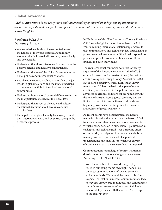## **Global Awareness**

*Global awareness is the recognition and understanding of interrelationships among international organizations, nation-states, public and private economic entities, sociocultural groups, and individuals across the globe.*

#### *Students Who Are Globally Aware:*

- Are knowledgeable about the connectedness of the nations of the world historically, politically, economically, technologically, socially, linguistically, and ecologically.
- Understand that these interconnections can have both positive benefits and negative consequences.
- Understand the role of the United States in international policies and international relations.
- Are able to recognize, analyze, and evaluate major trends in global relations and the interconnections of these trends with both their local and national communities.
- Understand how national cultural differences impact the interpretation of events at the global level.
- Understand the impact of ideology and culture on national decisions about access to and use of technology.
- Participate in the global society by staying current with international news and by participating in the democratic process.

In *The Lexus and the Olive Tree*, author Thomas Friedman (1999) says that globalization has replaced the Cold War in defining international relationships. Access to telecommunications and technology has caused shifts in power from nation-states to multinational corporations, public and private economic entities, sociocultural groups, and even individuals.

Today, international commerce accounts for nearly a quarter of the American economy. A third of U.S. economic growth and a quarter of new job creations are due to exports (Foreign Policy Association, 2000). But as U.N. Secretary-General Kofi Annan (1998) reminds us: "Unless the basic principles of equity and liberty are defended in the political arena and advanced as critical conditions for economic growth," the rewards reaped from a global economy will be limited. Indeed, informed citizens worldwide are beginning to articulate wider principles, policies, and politics of global awareness.

As recent events have demonstrated, the need to maintain a broad and accurate perspective on global trends and events has never been more pressing. As virtually every decision in our society—political, social, ecological, and technological—has a rippling effect on our world, participation in a democratic decisionmaking process requires a level of sophisticated understanding and analysis for which our current educational system may leave students unprepared.

Communications technology, of course, is a tremendously important component of global awareness. According to John Naisbitt (1994),

With the activities of the world being replayed for us in our living rooms each night, none of us can feign ignorance about affronts to society's ethical standards. We have all become our brother's keepers—at least in this sense. Communications technology has empowered individuals and communities through instant access to information of all kinds. Responsibility comes with that access. Are we up to the task? (p. 193)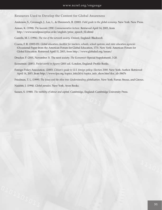**Resources Used to Develop the Content for Global Awareness**

Anderson, S., Cavanagh, J., Lee, L., & Ehrenreich, B. (2000). *Field guide to the global economy*. New York: New Press.

Annan, K. (1998). *The laureate 1998: Commemorative lecture*. Retrieved April 14, 2003, from http://www.seoulpeaceprize.or.kr/english/prize\_speech\_02.shtml

Castells, M. l. (1996). *The rise of the network society*. Oxford, England: Blackwell.

Czarra, F. R. (2002-03). *Global education checklist for teachers, schools, school systems, and state education agencies* (Occasional Paper from the American Forum for Global Education, 173). New York: American Forum for Global Education. Retrieved April 11, 2003, from http://www.globaled.org/issues/

Drucker, P. (2001, November 3). The next society. *The Economist* (Special Supplement), 3-20.

Economist. (2001). *Pocket world in figures* (2001 ed.) London, England: Profile Books.

Foreign Policy Association. (2000). *Citizen's guide to U.S. foreign policy: Election 2000*. New York: Author. Retrieved April 14, 2003, from http://www.fpa.org/topics\_info2414/topics\_info\_show.htm?doc\_id=38476

Friedman, T. L. (1999). *The lexus and the olive tree: Understanding globalization*. New York: Farrar, Straus, and Giroux.

Naisbitt, J. (1994). *Global paradox*. New York: Avon Books.

Sassen, S. (1988). *The mobility of labour and capital.* Cambridge, England: Cambridge University Press.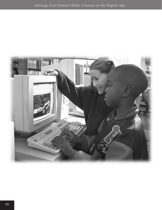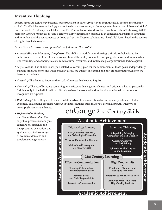# **Inventive Thinking**

Experts agree: As technology becomes more prevalent in our everyday lives, cognitive skills become increasingly critical. "In effect, because technology makes the simple tasks easier, it places a greater burden on higher-level skills" (International ICT Literacy Panel, 2002, p. 6). The Committee on Workforce Needs in Information Technology (2001) defines *intellectual capabilities* as "one's ability to apply information technology in complex and sustained situations and to understand the consequences of doing so" (p. 18). These capabilities are "life skills" formulated in the context of Digital Age technologies.

#### *Inventive Thinking is comprised of the following "life skills":*

- *Adaptability and Managing Complexity:* The ability to modify one's thinking, attitude, or behavior to be better suited to current or future environments; and the ability to handle multiple goals, tasks, and inputs, while understanding and adhering to constraints of time, resources, and systems (e.g., organizational, technological).
- *Self-Direction:* The ability to set goals related to learning, plan for the achievement of those goals, independently manage time and effort, and independently assess the quality of learning and any products that result from the learning experience.
- *Curiosity:* The desire to know or the spark of interest that leads to inquiry.
- *Creativity:* The act of bringing something into existence that is genuinely new and original, whether personally (original only to the individual) or culturally (where the work adds significantly to a domain of culture as recognized by experts).
- *Risk Taking:* The willingness to make mistakes, advocate unconventional or unpopular positions, or tackle extremely challenging problems without obvious solutions, such that one's personal growth, integrity, or accomplishments are enhanced.
- *Higher-Order Thinking and Sound Reasoning:* The cognitive processes of analysis, comparison, inference and interpretation, evaluation, and synthesis applied to a range of academic domains and problem-solving contexts.

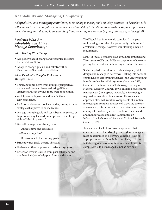# **Adaptability and Managing Complexity**

*Adaptability and managing complexity is the ability to modify one's thinking, attitudes, or behaviors to be better suited to current or future environments; and the ability to handle multiple goals, tasks, and inputs while understanding and adhering to constraints of time, resources, and systems (e.g., organizational, technological).*

#### *Students Who Are Adaptable and Able to Manage Complexity:*

*When Dealing With Change*

- Are positive about change and recognize the gains that might result from it.
- Adapt to change quickly and calmly, without idealizing earlier methods and ideas.

#### *When Faced with Complex Problems or Multiple Goals*

- Think about problems from multiple perspectives; understand they can be solved using different strategies and can involve more than one solution.
- Anticipate contingencies and handle them with confidence.
- Look for and correct problems as they occur; abandon strategies that prove to be ineffective.
- Manage multiple goals and set subgoals in service of larger ones; stay focused under pressure; and keep sight of "the big picture."
- Use self-management strategies to:
	- Allocate time and resources.
	- Remain organized.
	- Be accountable for meeting goals.
- Strive towards goals despite obstacles.
- Understand the components of relevant systems.
- Reflect on lessons learned from past behaviors, and use these insights to help plan future endeavors.

The Digital Age is inherently complex. In the past, multitasking was called for periodically. In this era of accelerating change, however, multitasking often is a requirement.

Many of today's students have grown up multitasking. They listen to CDs and MP3s on earphones while completing homework and interacting in online chat rooms.

Such complexity requires individuals to plan, think, design, and manage in new ways—taking into account contingencies, anticipating changes, and understanding interdependencies within systems (Goleman, 1998; Committee on Information Technology Literacy & National Research Council. 1999). In doing so, resource management (time, space, materials) is increasingly required to execute a plan successfully. Any such approach often will result in components of a system interacting in complex, unexpected ways. As projects are executed, it is important to trace interdependencies among information systems to look for, understand, and monitor cause and effect (Committee on Information Technology Literacy & National Research Council, 1999).

As a variety of solutions become apparent, their attendant trade-offs, advantages, and disadvantages must be examined to determine differing levels of appropriateness. Although the complexity of issues in today's global economy is self-evident, how this complexity is to be managed is not as obvious.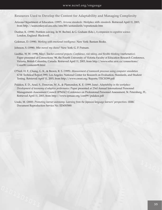**Resources Used to Develop the Content for Adaptability and Managing Complexity**

- Arizona Department of Education. (1997). *Arizona standards: Workplace skills standards*. Retrieved April 11, 2003, from http://seamonkey.ed.asu.edu/emc300/azstandards/wprationale.htm
- Dunbar, K. (1998). Problem solving. In W. Bechtel, & G. Graham (Eds.), *A companion to cognitive science*. London, England: Blackwell.
- Goleman, D. (1998). *Working with emotional intelligence*. New York: Bantam Books.
- Johnson, S. (1998). *Who moved my cheese?* New York: G. P. Putnam.
- Liedtke, W. W. (1998, May). *Teacher-centered projects: Confidence, risk taking, and flexible thinking (mathematics)*. Paper presented at Connections '98, the Fourth University of Victoria Faculty of Education Research Conference, Victoria, British Columbia, Canada. Retrieved April 11, 2003, from http://www.educ.uvic.ca/connections/ Conn98/contents98.html
- O'Neil, H. F., Chung, G. K., & Brown, R. S. (1995). *Measurement of teamwork processes using computer simulation* (CSE Technical Report 399). Los Angeles: National Center for Research on Evaluation, Standards, and Student Testing. Retrieved April 11, 2003, from http://www.cresst.org/Reports/TECH399.pdf
- Pulakos, E. D., Arad, S., Donovan, M. A., & Plamondon, K. E. (1999, June). *Adaptability in the workplace: Development of taxonomy of adaptive performance*. Paper presented at 23rd Annual International Personnel Management–Assessment Council (IPMAC) Conference on Professional Personnel Assessment, St. Petersberg, FL. Retrieved April 11, 2003, from http://www.ipmaac.org/conf99/pulakos.pdf
- Usuki, M. (2000). *Promoting learner autonomy: Learning from the Japanese language learners' perspectives*. (ERIC Document Reproduction Service No. ED450588)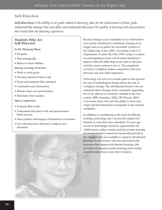# **Self-Direction**

*Self-direction is the ability to set goals related to learning, plan for the achievement of those goals, independently manage time and effort, and independently assess the quality of learning and any products that result from the learning experience.*

### *Students Who Are Self-Directed:*

*In the Planning Phase*

- Set goals.
- Plan strategically.
- Believe in their abilities.

*During Learning Activities*

- Work to reach goals.
- Develop interest in their work.
- Focus and maintain their attention.
- Constantly teach themselves.
- Monitor their own performance.
- Seek help when needed.

#### *Upon Completion*

- Evaluate their work.
- Understand that hard work and perseverance breed success.
- Have positive self-images of themselves as learners.
- Use what they have learned to adapt to new situations.



Because change occurs constantly in our informationrich society, self-directed, continuous learning is no longer seen as an option for successful workers in the Digital Age (Chao, 2001). According to the U.S. Department of Labor (SCANS, 1992), today's workers are participating in more out-of-school learning to improve their job skills than at any time in the past, and they must continue to do so. The complexity of today's workplace makes competence with new literacies and new skills imperative.

Technology can serve as a causal agent in this process; the rate of technological change drives the rate of workplace change. The self-directed learner who can anticipate these changes and is constantly upgrading his or her skill set is extremely valuable in the 21st century (BJK Associates, 2002; CEO Forum, 2001). Conversely, those who lack the ability to learn and adapt will find themselves in jeopardy in the modern workplace.

In addition to contributing to the need for lifelong learning, technology also can provide support for learners in ways that were unrealistic 10 years ago. Access to knowledge resources, opportunities for collaboration, online courses, and just-in-time learning environments have caused an exponential growth in the resources that are available to support self-directed learning. For the learner who has internalized the processes that support self-directed learning, this profusion of resources makes learning more readily available today than at any time in history.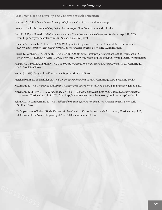**Resources Used to Develop the Content for Self-Direction**

Bandura, A. (2001). *Guide for constructing self-efficacy scales*. Unpublished manuscript.

Covey, S. (1990). *The seven habits of highly effective people*. New York: Simon and Schuster.

- Deci, E., & Ryan, R. (n.d.). *Self-determination theory: The self-regulation questionnaires*. Retrieved April 11, 2003, from http://psych.rochester.edu/SDT/measures/selfreg.html
- Graham, S., Harris, K., & Troia, G. (1998). *Writing and self-regulation: A case*. In D. Schunk & B. Zimmerman, *Self-regulated learning: From teaching practice to self-reflective practice*. New York: Guilford Press.
- Harris, K., Graham, S., & Schmidt, T. (n.d.). *Every child can write: Strategies for composition and self-regulation in the writing process*. Retrieved April 11, 2003, from http://www.ldonline.org/ld\_indepth/writing/harris\_writing.html
- Hogan, K., & Pressley, M. (Eds.) (1997). *Scaffolding student learning: Instructional approaches and issues*. Cambridge, MA: Brookline Books.
- Keirns, J. (1998). *Designs for self-instruction*. Boston: Allyn and Bacon.
- Meichenbaum, D., & Biemiller, A. (1998). *Nurturing independent learners*. Cambridge, MA: Brookline Books.
- Newmann, F. (1996). *Authentic achievement: Restructuring schools for intellectual quality*. San Francisco: Jossey-Bass.
- Newmann, F. M., Bryk, A. S., & Nagaoka, J. K. (2001). *Authentic intellectual work and standardized tests: Conflict or coexistence?* Retrieved April 11, 2003, from http://www.consortium-chicago.org/publications/p0a02.html
- Schunk, D., & Zimmerman, B. (1998). *Self-regulated learning: From teaching to self-reflective practice*. New York: Guilford Press.
- U.S. Department of Labor. (1999). *Futurework: Trends and challenges for work in the 21st century*. Retrieved April 13, 2003, from http://www.bls.gov/opub/ooq/2000/summer/art04.htm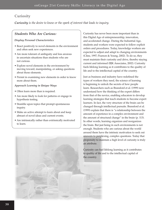# **Curiosity**

*Curiosity is the desire to know or the spark of interest that leads to inquiry.*

### *Students Who Are Curious:*

#### *Display Personal Characteristics*

- React positively to novel elements in the environment and often seek new experiences.
- Are more tolerant of ambiguity and less anxious in uncertain situations than students who are not curious.
- Explore novel elements in the environment by moving toward, manipulating, or asking questions about those elements.
- Persist in examining new elements in order to know more about them.

#### *Approach Learning in Unique Ways*

- Often learn more than is required.
- Are more likely to look for patterns or engage in hypothesis testing.
- Stumble upon topics that prompt spontaneous inquiry.
- Make an active attempt to learn about and keep abreast of novel ideas and current events.
- Are intrinsically rather than extrinsically motivated to learn.

Curiosity has never been more important than in this Digital Age of entrepreneurship, innovation, and accelerated change. During the Industrial Age, students and workers were expected to follow explicit orders and procedures. Today, knowledge workers are expected to adjust and adapt to changing environments (Cline, 1997; Pearson & Young, 2002). To do so, they must maintain their curiosity and drive, thereby staying current and informed (BJK Associates, 2002). Curiosity fuels lifelong learning as it contributes to the quality of life and to the intellectual capital of the country.

Just as business and industry have redefined the types of workers they need, the science of learning is beginning to unlock the secrets of how people learn. Researchers such as Bransford et al. (1999) now understand how the thinking of the expert differs from that of the novice, enabling educators to develop learning strategies that teach students to become expert learners. In fact, the very structure of the brain can be changed through intellectual pursuits. Bransford et al. (1999) explain that there is "a relationship between the amount of experience in a complex environment and the amount of structural change" in the brain (p. 113). In other words, learning organizes and reorganizes the brain. But just being in such environments is not enough. Students who are curious about the world around them have the intrinsic motivation to seek out answers to perplexing, complex questions. Today that propensity to maintain a high level of curiosity is truly an attribute.

Curiosity can fuel lifelong learning as it contributes to quality of life and to the intellectual capital of the country.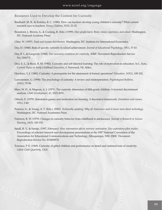#### **Resources Used to Develop the Content for Curiosity**

- Bradbard, M. R., & Endsley, R. C. (1980). How can teachers develop young children's curiosity? What current research says to teachers. *Young Children*, *35*(5), 21-32.
- Bransford, J., Brown, A., & Cocking, R. (Eds.) (1999). *How people learn: Brain, mind, experience, and school*. Washington, DC: National Academy Press.
- Cline, W. (1997). *Trade and income distribution*. Washington, DC: Institute for International Economics.
- Day, H. (1968). Role of specific curiosity in school achievement. *Journal of Educational Psychology*, *59*(1), 37-43.
- Day, R. I., & Langevin. (1968). *Two necessary conditions for creativity*. (ERIC Document Reproduction Service No. 026673)
- Deci, E. L., & Ryan, R. M. (1982). Curiosity and self-directed learning: The role of motivation in education. In L. Katz, *Current Topics in Early Childhood Education*, *4*. Norwood, NJ: Ablex.
- Hawkins, V. J. (1982). Curiosity: A prerequisite for the attainment of formal operations? *Education, 103*(1), 100-102.
- Loewenstein, G. (1994). The psychology of curiosity: A review and reinterpretation. *Psychological Bulletin*, *116*(1), 75-98.
- Maw, W. H., & Magoon, A. J. (1971). The curiosity dimension of fifth-grade children: A factorial discriminant analysis. *Child Development, 42*, 2023-2031.
- Orbach, E. (1979). Simulation games and motivation for learning: A theoretical framework. *Simulation and Games*, *10*(1), 3-40.
- Pearson, G., & Young, A. T. (Eds.), (2002). *Technically speaking: Why all Americans need to know more about technology*. Washington, DC: National Academies Press.
- Peterson, R. W. (1979). Changes in curiosity behavior from childhood to adolescence. *Journal of Research in Science Teaching*, *16*(3), 185-192.
- Small, R. V., & Samijo. (1997, February). *How information affects intrinsic motivation: Two exploratory pilot studies*. Proceedings of selected research and development presentations at the 1997 National Convention of the Association for Educational Communications and Technology, Albuquerque, NM. (ERIC Document Reproduction Service No. ED409872)
- Torrance, P. E. (1969). Curiosity of gifted children and performance on timed and untimed tests of creativity. *Gifted Child Quarterly*, *13*(3).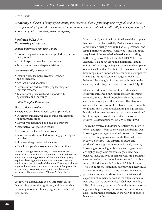# **Creativity**

*Creativity is the act of bringing something into existence that is genuinely new, original, and of value either personally (of significance only to the individual or organization) or culturally (adds significantly to a domain of culture as recognized by experts).*

### *Students Who Are Personally Creative:*

#### *Exhibit Innovation and Risk Taking*

- Produce original, unique, and cogent ideas, phrases, and products.
- Exhibit expertise in at least one domain.
- Take risks and excel despite mistakes.

#### *Are Intrinsically Motivated*

- Exhibit curiosity, inquisitiveness, wonder, and excitement.
- Are flexible and adaptable.
- Become immersed in challenging learning for intrinsic reasons.
- Tolerate ambiguity well and respond with spontaneity and ingenuity.

#### *Exhibit Complex Personalities*

These students are often:

- Energetic, yet able to quietly contemplate ideas.
- Divergent thinkers, yet able to think convergently at appropriate times.
- Playful, yet disciplined and able to persevere.
- Imaginative, yet rooted in reality.
- Extroverted, yet able to be introspective.
- Passionate and committed to learning, yet analytical and objective.
- Driven and aggressive, yet sensitive.
- Rebellious, yet able to operate within traditions.

**Caveat:** Although a student may be personally creative, that is no guarantee that the student will be able to be creative within a group or organization. Creativity within a group requires a learning environment that promotes creativity within strong teaming and collaboration. Creativity within an organization requires a learning environment that promotes and encourages creativity among individuals as valued members of the organization (Williams & Yang, 1999).

Creativity is defined here at two important levels: that which is culturally significant, and that which is personally or organizationally significant. Both hold great value.

Human social, emotional, and intellectual development has been driven by creativity. Perhaps more than any other human quality, creativity has left permanent and lasting marks on cultures worldwide—and it is at the very heart of the knowledge-based age. According to the Progressive Policy Institute (2002), "The New Economy is all about economic dynamism…and is epitomized by fast-growing, entrepreneurial companies, one of its hallmarks. The ability of firms to innovate…is becoming a more important determinant of competitive advantage" (p. 1). President George W. Bush (2002) believes "the strength of our economy is built on the creativity and entrepreneurship of our people" (p. 1).

Many individuals and teams of individuals have creatively influenced our culture through emerging technologies (e.g., breakthroughs such as the silicon chip, laser surgery, and the Internet). The literature confirms that such cultural creativity requires not only originality and a deep understanding of a given field but also widespread societal acceptance of the cultural breakthrough or invention in order to be considered creative (Csikszentmihalyi, 1996; Weisberg, 1999).

Today, the creative individual potentially has more to offer—and gain—from society, than ever before. Our knowledge-based age has shifted power from those who own raw physical materials to those who have *intellectual capacity*—the capacity to create and produce knowledge. At an economic level, creative, knowledge-producing individuals and organizations are highly likely to be economically solvent. At a personal level, the lives of persons who are personally creative can be richer, more interesting and, possibly, more fulfilled (Collins & Amabile, 1999; Nickerson, 1999). In addition, technology has provided individuals and communities with the time to spend in creative pursuits, resulting in extraordinary extensions and expansion of domains as well as the establishment of new ones such as biotechnology (Csikszentmihalyi, 1996). To that end, the current federal administration is aggressively promoting innovation and entrepreneurship—encouraging creativity in the worlds of science, business, and industry.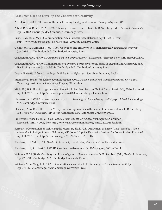**Resources Used to Develop the Content for Creativity**

Abdulezer, S. (2001). The state of the arts: Curating the digital classroom. *Converge Magazine*, *4*(6).

- Albert, R. S., & Runco, M. A. (1999). A history of research on creativity. In R. Sternberg (Ed.), *Handbook of creativity* (pp. 16-31). Cambridge, MA: Cambridge University Press.
- Bush, G. W. (2002, May 6). A proclamation. *Small Business Week*. Retrieved April 13, 2003, from http://www.whitehouse.gov/news/releases/2002/05/20020506-2.html
- Collins, M. A., & Amabile, T. M. (1999). Motivation and creativity. In R. Sternberg (Ed.), *Handbook of creativity* (pp. 297-312). Cambridge, MA: Cambridge University Press.

Csikszentmihalyi, M. (1996). *Creativity: Flow and the psychology of discovery and invention*. New York: HarperCollins.

- Csikszentmihalyi, M. (1999). Implications of a systems perspective for the study of creativity. In R. Sternberg (Ed.), *Handbook of creativity* (pp. 312-335). Cambridge, MA: Cambridge University Press.
- Dyson, E. (1998). *Release 2.1: A design for living in the digital age*. New York: Broadway Books.
- International Society for Technology in Education. (2000). *National educational technology standards for students: Connecting curriculum and technology*. Eugene, OR: Author.
- Miele, F. (1995). Skeptic magazine interview with Robert Sternberg on *The Bell Curve*. *Skeptic, 3*(3), 72-80. Retrieved April 11, 2003, from http://www.skeptic.com/03.3.fm-sternberg-interview.html
- Nickerson, R. S. (1999). Enhancing creativity. In R. Sternberg (Ed.), *Handbook of creativity* (pp. 392-430). Cambridge, MA: Cambridge University Press.
- Plucker, J. A., & Renzulli, J. S. (1999). Psychometric approaches to the study of human creativity. In R. Sternberg (Ed.), *Handbook of creativity* (pp. 35-61). Cambridge, MA: Cambridge University Press.
- Progressive Policy Institute. (2002). *The 2002 state new economy index*. Washington, DC: Author. Retrieved April 13, 2003, from http://www.neweconomyindex.org/states/2002/index.html
- Secretary's Commission on Achieving the Necessary Skills, U.S. Department of Labor. (1992). *Learning a living: A blueprint for high performance*. Baltimore, MD: Johns Hopkins University Institute for Policy Studies. Retrieved April 11, 2003, from http://wdr.doleta.gov/SCANS/lal/LAL.HTM
- Sternberg, R. J. (Ed.). (1999). *Handbook of creativity*. Cambridge, MA: Cambridge University Press.
- Sternberg, R. J., & Lubart, T. I. (1991). Creating creative minds. *Phi Delta Kappan, 72*(8), 608-614.
- Weisberg, R. W. (1999). Creativity and knowledge: A challenge to theories. In R. Sternberg (Ed.), *Handbook of creativity* (pp. 226-250). Cambridge, MA: Cambridge University Press.
- Williams, M., & Yang, L. T. (1999). Organizational creativity. In R. Sternberg (Ed.), *Handbook of creativity* (pp. 373- 391). Cambridge, MA: Cambridge University Press.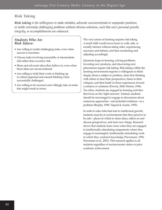### **Risk Taking**

*Risk taking is the willingness to make mistakes, advocate unconventional or unpopular positions, or tackle extremely challenging problems without obvious solutions, such that one's personal growth, integrity, or accomplishments are enhanced.*

### *Students Who Are Risk Takers:*

- Are willing to tackle challenging tasks, even when success is uncertain.
- Choose tasks involving reasonable or intermediate risk rather than excessive risk.
- Share and advocate ideas they believe in, even when those ideas are unconventional.
- Are willing to hold their work or thinking up to critical appraisal and amend thinking when successfully challenged.
- Are willing to be incorrect and willingly take on tasks that might result in errors.

The very nature of learning requires risk taking. A small child would never learn to walk, talk, or socially interact without taking risks, experiencing successes and failures, and then monitoring and adjusting accordingly.

Quantum leaps in learning, solving problems, inventing new products, and discovering new phenomena require risk taking. Risk taking within the learning environment requires a willingness to think deeply about a subject or problem, share that thinking with others to hear their perspectives, listen to their critiques, and then build on those experiences toward a solution or solutions (Dweck, 2000; Weiner, 1994). Too often, students are engaged in learning activities that focus on the 'right answers.' Instead, students should be encouraged to engage in discussions about numerous approaches—and potential solutions—to a problem (Brophy, 1998; Vispoel & Austin, 1995).

In order to take risks that lead to intellectual growth, students must be in environments that they perceive to be safe—places in which to share ideas, reflect on and discuss perspectives, and learn new things. Research shows that students learn more when they are engaged in intellectually stimulating assignments where they engage in meaningful, intellectually stimulating work in which they construct knowledge (Newmann, 1996; Newmann et al., 2001). This research applies to all students regardless of socioeconomic status or prior academic achievement.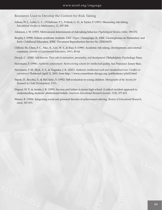**Resources Used to Develop the Content for Risk Taking**

- Atkins, W. J., Leder, G. C., O'Halloran, P. J., Pollard, G. H., & Taylor, P. (1991). Measuring risk taking. E*ducational Studies in Mathematics, 22*, 297-308.
- Atkinson, J. W. (1957). Motivational determinants of risk-taking behavior. *Psychological Review, 64*(6), 359-372.
- Brophy, J. (1998). Failure syndrome students. *ERIC Digest*. Champaign, IL: ERIC Clearinghouse on Elementary and Early Childhood Education. (ERIC Document Reproduction Service No. ED419625)
- Clifford, M., Chou, F. C., Mao, K., Lan, W. Y., & Kuo, S. (1990). Academic risk taking, development, and external constraint. *Journal of Experimental Education, 59*(1), 45-64.
- Dweck, C. (2000). *Self-theories: Their role in motivation, personality, and development*. Philadelphia: Psychology Press.
- Newmann, F. (1996). *Authentic achievement: Restructuring schools for intellectual quality*. San Francisco: Jossey-Bass.
- Newmann, F. M., Bryk, A. S., & Nagaoka, J. K. (2001). *Authentic intellectual work and standardized tests: Conflict or coexistence?* Retrieved April 11, 2003, from http://www.consortium-chicago.org/publications/p0a02.html
- Stipek, D., Recchia, S., & McClintic, S. (1992). Self-evaluation in young children. *Monographs of the Society for Research in Child Development, 57*(1).
- Vispoel, W. P., & Austin, J. R. (1995). Success and failure in junior high school: A critical incident approach to understanding students' attributional beliefs. *American Educational Research Journal, 32*(2), 377-412.
- Weiner, B. (1994). Integrating social and personal theories of achievement striving. *Review of Educational Research*, *64*(4), 557-573.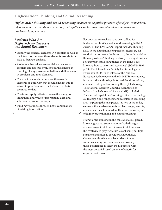# **Higher-Order Thinking and Sound Reasoning**

*Higher-order thinking and sound reasoning includes the cognitive processes of analysis, comparison, inference and interpretation, evaluation, and synthesis applied to a range of academic domains and problem-solving contexts.*

#### *Students Who Are Higher-Order Thinkers and Sound Reasoners:*

- Identify the essential elements in a problem as well as the interaction between those elements; use electronic tools to facilitate analysis.
- Assign relative values to essential elements of a problem and use those values to rank elements in meaningful ways; assess similarities and differences in problems and their elements.
- Construct relationships between the essential elements of a problem that provide insight into it; extract implications and conclusions from facts, premises, or data.
- Create and apply criteria to gauge the strengths, limitations, and value of information, data, and solutions in productive ways.
- Build new solutions through novel combinations of existing information.

For decades, researchers have been calling for higher-order thinking and sound reasoning in K–12 curricula. The 1991 SCANS report included thinking skills in the foundation competencies necessary for solid job performance. In this report, the authors define thinking skills as "thinking creatively, making decisions, solving problems, seeing things in the mind's eye, knowing how to learn, and reasoning" (SCANS, 1991, p. 13). The International Society for Technology in Education (2000), in its release of the National Education Technology Standards (NETS) for students, included critical thinking, informed decision-making, and real-world problem solving through technology. The National Research Council's Committee on Information Technology Literacy (1999) included "intellectual capabilities" as being critical to technological fluency, citing "engagement in sustained reasoning" and "expecting the unexpected" as two of the 10 key elements that enable students to plan, design, execute, and evaluate a solution. All of these are critical aspects of higher-order thinking and sound reasoning

Higher-order thinking in the context of a fast-paced, knowledge-based society requires both divergent and convergent thinking. Divergent thinking uses the creativity to play "what if," establishing multiple scenarios and ideas to consider as hypotheses. Convergent thinking enables students to use sound reasoning and common sense to analyze those possibilities to select the hypothesis with the most potential based on a set of criteria for expected outcomes.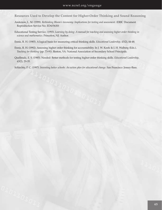**Resources Used to Develop the Content for Higher-Order Thinking and Sound Reasoning**

- Anderson, L. M. (1999). *Rethinking Bloom's taxonomy: Implications for testing and assessment*. (ERIC Document Reproduction Service No. ED435630)
- Educational Testing Service. (1993). *Learning by doing: A manual for teaching and assessing higher-order thinking in science and mathematics*. Princeton, NJ: Author.

Ennis, R. H. (1985). A logical basis for measuring critical thinking skills. *Educational Leadership, 43*(2), 44-48.

- Ennis, R. H. (1992). Assessing higher order thinking for accountability. In J. W. Keefe & J. H. Walberg (Eds.), *Teaching for thinking* (pp. 73-91). Reston, VA: National Association of Secondary School Principals.
- Quellmalz, E. S. (1985). Needed: Better methods for testing higher-order thinking skills. *Educational Leadership*, *43*(2), 29-35.

Schlechty, P. C. (1997). *Inventing better schools: An action plan for educational change*. San Francisco: Jossey-Bass.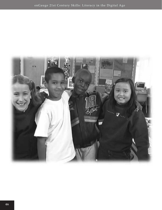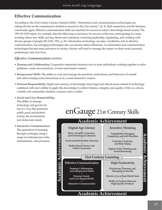# **Effective Communication**

According to the 21st Century Literacy Summit (2002), "Information and communications technologies are raising the bar on the competencies needed to succeed in the 21st century" (p. 4). Both researchers and the business community agree: Effective communication skills are essential for success in today's knowledge-based society. The 1991 SCANS report, for example, lists the following as necessary for success in this area: participating in a team, teaching others new skills, serving clients and customers, exercising leadership, negotiating, and working with diverse groups of people (SCANS, 1991, p. 81). Information technology can play a facilitative role in effective communication, but emerging technologies also can present ethical dilemmas. As information and communication technologies become more pervasive in society, citizens will need to manage the impact on their social, personal, professional, and civic lives.

### *Effective Communication involves:*

- *Teaming and Collaboration:* Cooperative interaction between two or more individuals working together to solve problems, create novel products, or learn and master content.
- *Interpersonal Skills:* The ability to read and manage the emotions, motivations, and behaviors of oneself and others during social interactions or in a social-interactive context.
- *Personal Responsibility:* Depth and currency of knowledge about legal and ethical issues related to technology, combined with one's ability to apply this knowledge to achieve balance, integrity, and quality of life as a citizen, a family and community member, a learner, and a worker.
- *Social and Civic Responsibility:* The ability to manage technology and govern its use in a way that promotes public good and protects society, the environment, and democratic ideals.
- *Interactive Communication:* The generation of meaning through exchanges using a range of contemporary tools, transmissions, and processes.

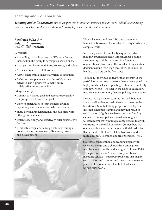# **Teaming and Collaboration**

*Teaming and collaboration means cooperative interaction between two or more individuals working together to solve problems, create novel products, or learn and master content.*

### *Students Who Are Adept at Teaming and Collaboration:*

#### *Personally*

- Are willing and able to take on different roles and tasks within the group to accomplish shared ends.
- Are open and honest with ideas, concerns, and values.
- Are leaders as well as followers.
- Apply collaborative skills to a variety of situations.
- Reflect on group interactions after collaborative activities; use experiences to make future collaboration more productive.

#### *Interpersonally*

- Commit to a shared goal and accept responsibility for group work toward that goal.
- Work to match tasks to team member abilities, expanding team membership when necessary.
- Share personal understandings and resources with other group members.
- Listen respectfully and objectively; offer constructive feedback.
- Iteratively design and redesign solutions through honest debate, disagreement, discussion, research, and development.



Why collaborate and team? Because cooperative interaction is essential for survival in today's fast-paced, complex world.

Increasing levels of complexity require expertise in highly specialized fields. Time itself has become a commodity, and the net result is a flattening of organizational structures—the transfer of high-stakes decision making from high-level executives into the hands of workers on the front lines.

The adage "the whole is greater than the sum of the parts" has never been more true than when applied to a highly functional team operating within the complexity of today's world—whether in the fields of education, medicine, transportation, finance, politics, or any other.

Despite the high stakes, teaming and collaboration are not well understood—in the classroom or in the boardroom. Simply tasking people to work together does not constitute teaming and may not result in collaboration. Highly effective teams have four key elements: (1) a compelling, shared goal or goals; (2) team members with unique competencies that will contribute to successful outcomes; (3) members that operate within a formal structure, with defined roles that facilitate collective/collaborative work; and (4) mutual respect, tolerance, and trust (Schrage, 1989).

Successful collaboration and teaming begins with collective energy and a shared drive among team members to accomplish a shared goal (Schrage, 1989). To help ensure a team's success, organizations including schools—must pose problems that inspire collaboration and teaming and then create the workplace or classroom norms that both facilitate and reward such work.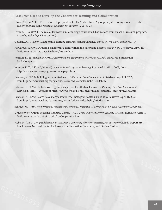**Resources Used to Develop the Content for Teaming and Collaboration**

- Davis, B. D., & Miller, T. R. (1996). Job preparation for the 21st century: A group project learning model to teach basic workplace skills. *Journal of Education for Business, 72*(2), 69-73.
- Denton, H. G. (1990). The role of teamwork in technology education: Observations from an action research program. *Journal of Technology Education, 1*(2).
- Gokhale, A. A. (1995). Collaborative learning enhances critical thinking. *Journal of Technology Education, 7*(1).
- Howard, S. A. (1999). Guiding collaborative teamwork in the classroom. *Effective Teaching, 3*(1). Retrieved April 11, 2003, from http://cte.uncwil.edu/et/articles.htm
- Johnson, D., & Johnson, R. (1989). *Cooperation and competition: Theory and research*. Edina, MN: Interaction Book Company.
- Johnson, R. T., & David, W. (n.d.). *An overview of cooperative learning*. Retrieved April 11, 2003, from http://www.clcrc.com/pages/overviewpaper.html
- Peterson, K. (1995). Building a committed team. *Pathways to School Improvement*. Retrieved April 11, 2003, from http://www.ncrel.org/sdrs/areas/issues/educatrs/leadrshp/le200.htm
- Peterson, K. (1995). Skills, knowledge, and capacities for effective teamwork. *Pathways to School Improvement*. Retrieved April 11, 2003, from http://www.ncrel.org/sdrs/areas/issues/educatrs/leadrshp/le2skill.htm
- Peterson, K. (1995). Teams have many advantages. *Pathways to School Improvement*. Retrieved April 11, 2003, from http://www.ncrel.org/sdrs/areas/issues/educatrs/leadrshp/le2advan.htm
- Schrage, M. (1989). *No more teams! Mastering the dynamics of creative collaboration*. New York: Currency/Doubleday.
- University of Virginia Teaching Resource Center. (1992). U*sing groups effectively: Teaching concerns*. Retrieved April 11, 2003, from http://trc.virginia.edu/tc/Cooperative.htm
- Webb, N. (1994). *Group collaboration in assessment: Competing objectives, processes, and outcomes* (CRESST Report 386). Los Angeles: National Center for Research on Evaluation, Standards, and Student Testing.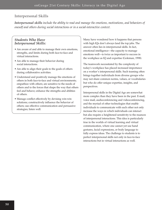# **Interpersonal Skills**

*Interpersonal skills include the ability to read and manage the emotions, motivations, and behaviors of oneself and others during social interactions or in a social-interactive context.*

### *Students Who Have Interpersonal Skills:*

- Are aware of and able to manage their own emotions, strengths, and limits during both face-to-face and virtual interactions.
- Are able to manage their behavior during social interactions.
- Are able to align their goals to the goals of others during collaborative activities.
- Understand and positively manage the emotions of others in both face-to-face and virtual environments; empathize with others; are sensitive to the needs of others and to the forces that shape the way that others feel and behave; enhance the strengths and abilities of others.
- Manage conflict effectively by devising win-win solutions; constructively influence the behavior of others; use effective communication and persuasive strategies; listen well.

Many have wondered how it happens that persons with high IQs don't always land the top jobs. The answer often lies in interpersonal skills. In fact, emotional intelligence—the capacity to manage emotions well—is twice as important to success in the workplace as IQ and expertise (Goleman, 1998).

The teamwork necessitated by the complexity of today's workplace has placed increased importance on a worker's interpersonal skills. Such teaming often brings together individuals from diverse groups who may not share common norms, values, or vocabularies but who do offer unique expertise, insights, and perspectives.

Interpersonal skills in the Digital Age are somewhat more complex than they have been in the past. E-mail, voice mail, audioconferencing and videoconferencing, and the myriad of other technologies that enable individuals to communicate with each other not only increase the ways in which individuals can interact but also require a heightened sensitivity to the nuances of interpersonal interactions. This idea is particularly true in the worlds of virtual learning and virtual communication, where one cannot yet use hand gestures, facial expressions, or body language to fully express ideas. The challenge to students is to perfect interpersonal skills not only in face-to-face interactions but in virtual interactions as well.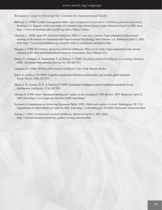#### **Resources Used to Develop the Content for Interpersonal Skills**

- Billikopf, G. (1994). Conflict management skills. *Labor management in agriculture: Cultivating personnel productivity*. Berkeley, CA: Regents of the University of California Agricultural Issues Center. Retrieved April 11, 2003, from http://www.cnr.berkeley.edu/ucce50/ag-labor/7labor/13.htm
- Cherniss, C. (2000, April 15). *Emotional intelligence: What it is and why it matters*. Paper presented at the annual meeting of the Society for Industrial and Organizational Psychology, New Orleans, LA. Retrieved April 11, 2003, from http://www.eiconsortium.org/research/what\_is\_emotional\_intelligence.htm
- Finegan, J. (1998, November). *Measuring emotional intelligence: Where we are today*. Paper presented at the annual meeting of the Mid-South Educational Research Association, New Orleans, LA.
- Finley, D., Pettinger, A., Rutherford, T., & Timmes, V. (2000). *Developing emotional intelligence in a multiage classroom*. (ERIC Document Reproduction Service No. ED 442 571)
- Goleman, D. (1998). *Working with emotional intelligence*. New York: Bantam Books.
- Jones, K., & Day, J. D. (1996). Cognitive similarities between academically and socially gifted students. R*oeper Review, 18*(4), 270-273.
- Mayer, J. D., Caruso, D. R., & Salovey, P. (1999). Emotional intelligence meets traditional standards for an intelligence. *Intelligence, 27*(4), 267-298.
- Murray, B. (1998). Does "emotional intelligence" matter in the workplace? *APA Monitor, 29*(7). Retrieved April 11, 2003, from http://www.apa.org/monitor/jul98/emot.html
- Secretary's Commission on Achieving Necessary Skills. (1991). *What work requires of schools*. Washington, DC: U.S. Department of Labor. Retrieved April 14, 2003, from http://wdr.doleta.gov/SCANS/whatwork/whatwork.html
- Young, C. (1996). *Emotions and emotional intelligence*. Retrieved April 11, 2003, from http://trochim.human.cornell.edu/gallery/young/emotion.htm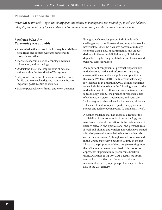# **Personal Responsibility**

*Personal responsibility is the ability of an individual to manage and use technology to achieve balance, integrity, and quality of life as a citizen, a family and community member, a learner, and a worker.*

### *Students Who Are Personally Responsible:*

- Acknowledge that access to technology is a privilege, not a right, and as such warrants adherence to protocols and ethics.
- Practice responsible use of technology systems, information, and technology.
- Understand the global implications of personal actions within the World Wide Web system.
- Set, prioritize, and meet personal as well as civic, family, and work-related goals; maintain a focus on important goals in spite of obstacles.
- Balance personal, civic, family, and work demands.

Emerging technologies present individuals with challenges, opportunities—and yes, temptations—like never before. Once the exclusive domain of industry, electronic data is now at our fingertips and on our desktops in the form of digital music, digital video, digital text, digital images, statistics, and business and personal correspondence.

An important component of personal responsibility with electronic media and information is staying current with emergent laws, policy, and practice in this realm (Willard, 2001). The International Society for Technology in Education (2000) defines standards for such decision making in the following areas: (1) the understanding of the ethical and societal issues related to technology; and (2) the practice of responsible use of technology systems, information, and software. Technology can drive values; for that reason, ethics and values must be developed to guide the application of science and technology in society (Uchida et al., 1996).

A further challenge that has arisen as a result of the availability of new communications technology and new levels of global competition is the maintenance of balance between one's professional and personal lives. E-mail, cell phones, and wireless networks have created a level of personal access that, while convenient, also can become intrusive. Although overall hours worked in the United States have declined slightly in the last 25 years, the proportion of those people working more than 49 hours per week has spiked. This proportion approaches 60 percent in higher income brackets (Rones, Gardner, & Ilg, 1997). As a result, the ability to establish priorities that place civic and family responsibilities in a proper perspective may be a key skill in the 21st century.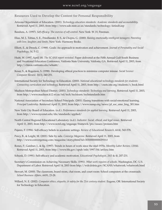#### **Resources Used to Develop the Content for Personal Responsibility**

- Arizona Department of Education. (2001). *Technology education standards: Academic standards and accountability*. Retrieved April 11, 2003, from http://www.ade.state.az.us/standards/technology/default.asp
- Bandura, A. (1997). *Self-efficacy: The exercise of self-control*. New York: W. H. Freeman.
- Elias, M. J., Tobias, S. E., Friedlander, B. S., & Chopra, G. (2000). *Raising emotionally intelligent teenagers: Parenting with love, laughter, and limits*. New York: Harmony Books.
- Elliott, E., & Dweck, C. (1988). Goals: An approach to motivation and achievement. *Journal of Personality and Social Psychology, 54*, 5-12.
- Huitt, W. (1997, April 18). *The SCANS report revisited*. Paper delivered at the Fifth Annual Gulf South Business and Vocational Education Conference, Valdosta State University, Valdosta, GA. Retrieved April 11, 2003, from http://chiron.valdosta.edu/whuitt/
- Kesar, S., & Rogerson, S. (1998). Developing ethical practices to minimize computer misuse. *Social Science Computer Review, 16*(3), 240-251.
- International Society for Technology in Education. (2000). *National educational technology standards for students: Connecting curriculum and technology*. Retrieved April 11, 2003, from http://cnets.iste.org/students/s\_book.html
- Madison Metropolitan School District. (2001). *Technology standards: Technology and learning*. Retrieved April 11, 2003, from http://www.madison.k12.wi.us/tnl/tech/techlearn/techstandards.htm
- National Association of Secondary School Principals. (2001). Easing transitions with social-emotional learning. *Principal Leadership*. Retrieved April 11, 2003, from http://www.nassp.org/news/pl\_soc\_emo\_lrng\_301.htm
- New York City Board of Education. (n.d.). *Performance standards for applied learning*. Retrieved April 11, 2003, from http://www.nycenet.edu/dis/standards/applied/
- North Central Regional Educational Laboratory. (n.d.). *Indicator: Social, ethical, and legal issues.* Retrieved April 11, 2003, from http://www.ncrel.org/engauge/framewk/pro/issues/proissra.htm
- Pajares, F. (1996). Self-efficacy beliefs in academic settings. *Review of Educational Research, 66*(4), 543-578.
- Percy, B., & Leight, M. (2001). Side by side. *Converge Magazine.* Retrieved April 11, 2003, from http://www.convergemag.com/magazine/story.phtml?id=3030000000002918.0
- Rones, P., Gardner, J., & Ilg. (1997). Trends in hours of work since the mid-1970s. *Monthly Labor Review, 120*(4). Retrieved April 11, 2003, from http://www.bls.gov/opub/mlr/1997/04/art1exc.htm
- Schunk, D. (1991). Self-efficacy and academic motivation. *Educational Psychologist*, *26*(3 & 4), 207-231.
- Secretary's Commission on Achieving Necessary Skills. (1991). *What work requires of schools*. Washington, DC: U.S. Department of Labor. Retrieved April 14, 2003 from http://wdr.doleta.gov/SCANS/whatwork/whatwork.html
- Stewart, M. (2000). The classroom, board room, chat room, and court room: School computers at the crossroads. *School Business Affairs, 66*(9), 23-28.
- Willard, N. E. (2002). *Computer ethics, etiquette, & safety for the 21st century student*. Eugene, OR: International Society for Technology in Education.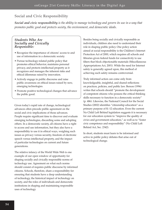# **Social and Civic Responsibility**

*Social and civic responsibility is the ability to manage technology and govern its use in a way that promotes public good and protects society, the environment, and democratic ideals.*

### *Students Who Are Socially and Civically Responsible:*

- Recognize the importance of citizens' access to and use of information in a democratic society.
- Pursue technology-related public policy that promotes ethical behavior, maintains personal privacy, and protects intellectual property as it recognizes and manages the inherent risks and ethical dilemmas raised by innovation.
- Actively engage in public discourse and raise public awareness on ethical issues raised by new, emerging technologies.
- Promote positive technological changes that advance the public good.

Given today's rapid rate of change, technological advances often precede public agreement on the social and civic implications of those advances. People require significant time to discover and evaluate emerging technologies, discarding some and adopting others. In a democratic society, all citizens have a right to access and use information, but they also have a responsibility to use it in ethical ways, weighing such issues as privacy versus security, freedom of electronic speech versus intellectual property, and the impact of particular technologies on current and future generations.

The relative infancy of the World Wide Web is one example of our open window of opportunity for shaping socially and civically responsible norms of technology use. Agreement on what such norms should consist of requires public discourse by informed citizens. Schools, therefore, share a responsibility for ensuring that students have a deep understanding of technology, the historical impact of technology on society, and the roles of individuals and democratic institutions in shaping and maintaining responsible uses of technology.

Besides being socially and civically responsible as individuals, children also need to understand their role in shaping public policy. One policy action aimed at social responsibility is the Children's Internet Protection Act of 2000, which requires all schools and libraries given federal funds for connectivity to use filters that block objectionable materials (Miscellaneous Appropriations Act, 2001). While the need for Internet safety is generally agreed upon, this method of achieving such safety remains controversial.

Truly informed action can come only from knowledgeable, insightful, and shared reflections on practices, policies, and public law. Berson (1996) writes that schools should "promote the development of competent citizens who possess the critical thinking skills necessary to function in a democratic society" (p. 486). Likewise, the National Council for the Social Studies (2002) identifies "citizenship education" as a primary purpose of K–12 education. Even the current No Child Left Behind legislation suggests it is necessary for our education system to "improve the quality of civics and government education," as well as to "foster civic competence and responsibility" (No Child Left Behind Act, Sec. 2342).

In short, students must learn to be informed and active in public policy debates that arise out of technological change.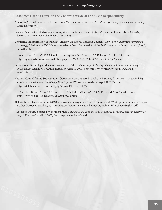**Resources Used to Develop the Content for Social and Civic Responsibility**

- American Association of School Librarians. (1999). *Information literacy: A position paper on information problem solving*. Chicago: Author.
- Berson, M. J. (1996). Effectiveness of computer technology in social studies: A review of the literature. *Journal of Research on Computing in Education, 28*(4), 486-98.
- Committee on Information Technology Literacy & National Research Council. (1999). *Being fluent with information technology*. Washington, DC: National Academy Press. Retrieved April 14, 2003, from http://www.nap.edu/html/ beingfluent/.
- Debuono, B. A. (April 29, 1998). Quote of the day. *New York Times*, p. A2. Retrieved April 11, 2003, from http://query.nytimes.com/search/full-page?res=9505E4DC173EF93AA15757C0A96E958260
- International Technology Education Association. (2000). *Standards for technological literacy: Content for the study of technology*. Reston, VA: Author. Retrieved April 11, 2003, from http://www.iteawww.org/TAA/PDFs/ xstnd.pdf.
- National Council for the Social Studies. (2002). *A vision of powerful teaching and learning in the social studies: Building social understanding and civic efficacy*. Washington, DC: Author. Retrieved April 11, 2003, from http://databank.ncss.org/article.php?story=20020402115147994
- No Child Left Behind Act of 2001, Pub. L. No. 107-110, 115 Stat. 1425 (2002). Retrieved April 15, 2003, from http://www.ed.gov/legislation/ESEA02/pg31.html
- 21st Century Literacy Summit. (2002). *21st century literacy in a convergent media world* [White paper]. Berlin, Germany: Author. Retrieved April 14, 2003 from http://www.21stcenturyliteracy.org/white/WhitePaperEnglish.pdf
- Web-Based Inquiry Science Environment. (n.d.). *Standards and learning goals for genetically modified foods in perspective project*. Retrieved April 11, 2003, from http://wise.berkeley.edu/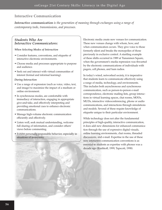## **Interactive Communication**

*Interactive communication is the generation of meaning through exchanges using a range of contemporary tools, transmissions, and processes.*

### *Students Who Are Interactive Communicators:*

*When Selecting Modes of Interaction*

- Consider features, conventions, and etiquette of interactive electronic environments.
- Choose media and processes appropriate to purpose and audience.
- Seek out and interact with virtual communities of interest (formal and informal learning).

#### *During Interaction*

- Use a range of expression (such as voice, video, text, and image) to maximize the impact of a medium or online environment.
- In synchronous modes, are comfortable with immediacy of interaction, engaging in appropriate give-and-take, and effectively interpreting and providing emotional cues to enhance electronic communications.
- Manage high-volume electronic communication efficiently and effectively.
- Listen well, seek mutual understanding, welcome full sharing of information, and consider others' views before commenting.
- Exhibit personally responsible behavior, especially in situations of anonymity.

Electronic media create new venues for communication. These new venues change with whom, how, and when communication occurs. They give voice to those formerly silent and breaks the monopolies of those previously in exclusive control. A startling example of these shifts occurred in 1989 at Tiananmen Square, when the government's media repression was thwarted by the electronic communications of individuals with pagers, cell phones, and ham radios.

In today's wired, networked society, it is imperative that students learn to communicate effectively using a range of media, technology, and environments. This includes both asynchronous and synchronous communication, such as person-to-person e-mail correspondence, electronic mailing lists, group interactions in virtual learning spaces, chat rooms, MOOs, MUDs, interactive videoconferencing, phone or audio communications, and interactions through simulations and models. Several of these require knowledge of etiquette unique to their particular environment.

While technology does not alter the fundamental principles of high-quality, interactive communication, it does add new dimensions for enhanced communication through the use of expressive digital visuals, online learning environments, chat rooms, threaded discussions, and e-mail. Expertise in the use of these new interactive communication conventions is as essential to students as expertise with phones was a decade ago (Rushkoff, 1999; Tapscott, 1998).

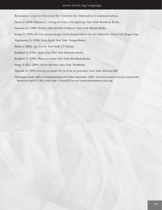**Resources Used to Develop the Content for Interactive Communication**

Dyson, E. (1998). Release 2.1: *A design for living in the digital age*. New York: Broadway Books.

- Goleman, D. (1998). *Working with emotional intelligence*. New York: Bantam Books.
- Kamp, D. (1999). *The 21st century manager: Future-focused skills for the next millennium*. Dover, NH: Kogan Page.
- Negroponte, N. (1996). *Being digital*. New York: Vintage Books.
- Rifkin, J. (2000). *Age of access*. New York: J. P. Tarcher.

Rushkoff, D. (1996). *Media virus*. New York: Ballantine Books.

Rushkoff, D. (1999). *Playing the future*. New York: Riverhead Books.

- Senge, P. (Ed.). (2000). *Schools that learn.* New York: Doubleday.
- Tapscott, D. (1997). *Growing up digital: The rise of the net generation*. New York: McGraw-Hill.
- Washington State Office of Superintendent of Public Instruction. (2001). *Essential academic learning requirements*. Retrieved April 11, 2003, from http://www.k12.wa.us/curriculuminstruct/ealrs.asp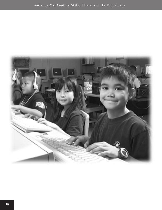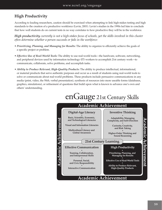# **High Productivity**

According to leading researchers, caution should be exercised when attempting to link high-stakes testing and high standards to the creation of a productive workforce (Levin, 2001). Levin's studies in the 1990s led him to conclude that how well students do on current tests in no way correlates to how productive they will be in the workforce.

*High productivity currently is not a high-stakes focus of schools, yet the skills involved in this cluster often determine whether a person succeeds or fails in the workforce:*

- *Prioritizing, Planning, and Managing for Results:* The ability to organize to efficiently achieve the goals of a specific project or problem.
- *Effective Use of Real-World Tools:* The ability to use real-world tools—the hardware, software, networking, and peripheral devices used by information technology (IT) workers to accomplish 21st century work—to communicate, collaborate, solve problems, and accomplish tasks.
- *Ability to Produce Relevant, High-Quality Products:* The ability to produce intellectual, informational, or material products that serve authentic purposes and occur as a result of students using real-world tools to solve or communicate about real-world problems. These products include persuasive communications in any media (print, video, the Web, verbal presentation), synthesis of resources into more useable forms (databases, graphics, simulations), or refinement of questions that build upon what is known to advance one's own and others' understanding.

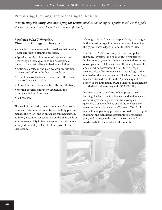# **Prioritizing, Planning, and Managing for Results**

*Prioritizing, planning, and managing for results involves the ability to organize to achieve the goals of a specific project or problem efficiently and effectively.*

### *Students Who Prioritize, Plan, and Manage for Results:*

- Are able to frame meaningful questions that provide clear direction to planning processes.
- Spend a considerable amount of "up-front" time reflecting on these questions and developing a specific plan that is likely to lead to a solution.
- Anticipate obstacles and plan accordingly, sustaining interest and effort in the face of complexity.
- Exhibit positive leadership traits; cause others to act in accordance with a plan.
- Utilize time and resources efficiently and effectively.
- Monitor progress effectively throughout the implementation of the plan.
- Self-evaluate.

The level of complexity often present in today's society requires workers—and students—to carefully plan and manage their work and to anticipate contingencies. In addition, it requires concentration on the main goals of a project—an ability to keep an eye on the outcomes so as to guide and align all facets of the project toward those goals.

Although this work was the responsibility of managers in the Industrial Age, it is now a basic requirement for the typical knowledge worker of the 21st century.

The 1991 SCANS report supports this concept by including "systems" as one of its five competencies. In that report, *systems* are defined as the understanding of complex interrelationships and the ability to monitor and correct performance. The 1991 SCANS report also includes a fifth competency—"technology"—that emphasizes the selection and application of technology to ensure desired results. In the "personal qualities" section of the foundation, SCANS lists self-management as a desired and necessary trait (SCANS, 1991).

In a recent summary of research on project-based learning, the lack of ability to create and systematically carry out systematic plans to address complex questions was identified as one of the key obstacles to successful implementation (Thomas, 2000). Explicit instruction in planning processes; scaffolds that support planning; and significant opportunities to prioritize, plan, and manage in the course of learning will be needed to build these skills in all students.

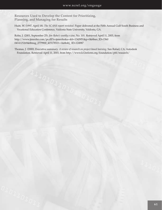**Resources Used to Develop the Content for Prioritizing, Planning, and Managing for Results**

Huitt, W. (1997, April 18). *The SCANS report revisited*. Paper delivered at the Fifth Annual Gulf South Business and Vocational Education Conference, Valdosta State University, Valdosta, GA.

Rohn, J. (2001, September 25). *Jim Rohn's weekly e-zine*, No. 101. Retrieved April 11, 2003, from http://www.jimrohn.com/ps.dll?s=jimrohn&a=&b=1343951&p=0&@ses\_ID=1560 0414125269&@msg\_2779900\_415178521=1&@obj\_ ID=124987

Thomas, J. (2000). Executive summary. *A review of research on project-based learning*. San Rafael, CA: Autodesk Foundation. Retrieved April 11, 2003, from http://www.k12reform.org/foundation/pbl/research/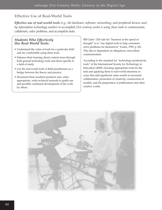# **Effective Use of Real-World Tools**

*Effective use of real-world tools (e.g., the hardware, software, networking, and peripheral devices used by information technology workers to accomplish 21st century work) is using these tools to communicate, collaborate, solve problems, and accomplish tasks.*

### *Students Who Effectively Use Real-World Tools:*

- Understand the value of tools for a particular field and are comfortable using these tools.
- Enhance their learning about content areas through both general technology tools and those specific to a field of study.
- Use the real-world tools of field practitioners as a bridge between the theory and practice.
- Document their resultant products and, when appropriate, write technical manuals to guide use and possibly continued development of the work by others.

Bill Gates' 12th rule for "business at the speed of thought" is to "use digital tools to help customers solve problems for themselves" (Gates, 1999, p. 82). This idea is dependent on ubiquitous, networked communication.

According to the standard for "technology productivity tools" of the International Society for Technology in Education (2000), choosing appropriate tools for the task and applying them to real-world situations in ways that add significant value results in increased collaboration, promotion of creativity, construction of models, and the preparation of publications and other creative works.

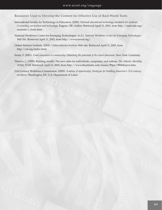**Resources Used to Develop the Content for Effective Use of Real-World Tools**

- International Society for Technology in Education. (2000). *National educational technology standards for students: Connecting curriculum and technology*. Eugene, OR: Author. Retrieved April 11, 2003, from http://cnets.iste.org/ students/s\_book.html
- National Workforce Center for Emerging Technologies. (n.d.). *National Workforce Center for Emerging Technologies Web Site*. Retrieved April 11, 2003, from http://www.nwcet.org/
- Online Internet Institute. (2002). *Online Internet Institute* Web site. Retrieved April 11, 2003, from http://oii.org/index.html
- Serim, F. (2001). *From computers to community: Unlocking the potential of the wired classroom*. New York: Centrinity.
- Thurow, L. (1999). Building wealth: The new rules for individuals, companies, and nations. *The Atlantic Monthly*, *283*(6), 57-69. Retrieved April 11, 2003, from http://www.theatlantic.com/issues/99jun/9906thurow.htm
- 21st Century Workforce Commission. (2000). *A nation of opportunity: Strategies for building tomorrow's 21st century workforce*. Washington, DC: U.S. Department of Labor.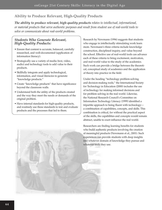# **Ability to Produce Relevant, High-Quality Products**

*The ability to produce relevant, high-quality products relates to intellectual, informational, or material products that serve authentic purposes and result from student use of real-world tools to solve or communicate about real-world problems.*

### *Students Who Generate Relevant, High-Quality Products:*

- Ensure that content is accurate, balanced, carefully researched, and well-documented (application of information literacy).
- Strategically use a variety of media (text, video, audio) and technology tools to add value to their products.
- Skillfully integrate and apply technological, information, and visual literacies to generate "knowledge products."
- Create "knowledge products" that have significance beyond the classroom walls.
- Understand both the utility of the products created and the way they meet the needs or demands of the original problem.
- Have internal standards for high-quality products, and routinely use these standards to test and evaluate products and the processes that led to them.

Heart<sub>Rate</sub>

Research by Newmann (1996) suggests that students who engage in intellectually stimulating work learn more. Newmann's three criteria include knowledge construction, disciplined inquiry, and value beyond the school. Effective use of real-world tools can advance each of these criteria to bring excitement, motivation, and real-world value to the study of the academics. Such work can provide a bridge between the theoretical, conceptual study of academics and the application of theory into practice in the field.

Under the heading "technology problem-solving and decision-making tools," the International Society for Technology in Education (2000) includes the use of technology for making informed decisions and for problem solving in the real world. Likewise, the National Research Council's Committee on Information Technology Literacy (1999) identified a tripartite approach to being fluent with technology a combination of capabilities, concepts, and skills. This combination is critical, for without the practical aspect of the skills, the capabilities and concepts would remain abstract, unable to exert influence the real world.

Researchers are finding learning benefits for students who build authentic products involving the creation of meaningful products (Newmann et al., 2001). Such experiences can provide students with deep insights into whatever domain of knowledge they pursue and whatever tools they use.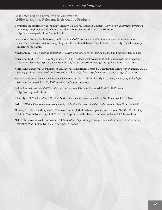#### **Resources Used to Develop the Content for Ability to Produce Relevant, High-Quality Products**

- Committee on Information Technology Literacy & National Research Council. (1999). *Being fluent with information technology*. Washington, DC: National Academy Press. Retrieved April 11, 2003, from http://www.nap.edu/html/beingfluent
- International Society for Technology in Education. (2000). *National educational technology standards for students: Connecting curriculum and technology*. Eugene, OR: Author. Retrieved April 11, 2003, from http://cnets.iste.org/ students/s\_book.html
- Newmann, F. (1996). *Authentic achievement: Restructuring schools for intellectual quality*. San Francisco: Jossey-Bass.
- Newmann, F. M., Bryk, A. S., & Nagaoka, J. K. (2001). *Authentic intellectual work and standardized tests: Conflict or coexistence*. Retrieved April 11, 2003, from http://www.consortium-chicago.org/publications/p0a02.html
- North Central Regional Technology in Educational Consortium, Porter, B., & Education Technology Planners. (2000). *Scoring guide for student products*. Retrieved April 11, 2003, from http://www.ncrtec.org/tl/sgsp/index.html
- National Workforce Center for Emerging Technologies. (2001). *National Workforce Center for Emerging Technologies* Web site. Retrieved April 11, 2003, from http://www.nwcet.org/
- Online Internet Institute. (2001). *Online Internet Institute* Web site. Retrieved April 11, 2003, from http://oii.org/index.html
- Schlechty, P. (1997). *Inventing better schools: An action plan for educational reform*. San Francisco: Jossey-Bass.
- Serim, F. (2001). *From computers to community: Unlocking the potential of the wired classroom*. New York: Centrinity.
- Thurow, L. (1999). Building wealth: The new rules for individuals, companies, and nations. *The Atlantic Monthly*, *283*(6), 57-69. Retrieved April 11, 2003, from http://www.theatlantic.com/issues/99jun/9906thurow.htm
- 21st Century Workforce Commission. (2000). *A nation of opportunity: Strategies for building tomorrow's 21st century workforce*. Washington, DC: U.S. Department of Labor.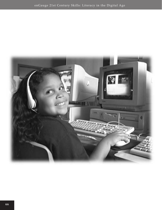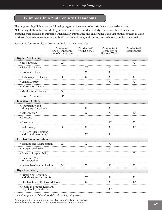# **Glimpses Into 21st Century Classrooms**

The programs highlighted on the following pages tell the stories of real students who are developing 21st century skills in the context of rigorous, content-based, academic study. Learn how these teachers are engaging their students in authentic, intellectually stimulating and challenging work that motivates them to work hard, collaborate in meaningful ways, build a variety of skills, and conduct research to accomplish their goals.

Each of the four examples addresses multiple 21st century skills:

|                                                                | Grades 1-2<br>Kristi Rennebohm<br>Franz's Classroom | Grades 4-12<br>WISE Science | Grades 9-12<br>Geometry in<br>the Real World | Grades 9-12<br><b>Electric Soup</b> |
|----------------------------------------------------------------|-----------------------------------------------------|-----------------------------|----------------------------------------------|-------------------------------------|
| Digital-Age Literacy                                           |                                                     |                             |                                              |                                     |
| • Basic Literacy                                               | $X^*$                                               |                             |                                              | X                                   |
| • Scientific Literacy                                          |                                                     | $X^*$                       |                                              |                                     |
| • Economic Literacy                                            |                                                     | $\boldsymbol{\chi}$         | х                                            |                                     |
| · Technological Literacy                                       | X                                                   | X                           | X                                            |                                     |
| • Visual Literacy                                              |                                                     |                             | X                                            | X                                   |
| • Information Literacy                                         |                                                     | X                           |                                              |                                     |
| • Multicultural Literacy                                       | X                                                   |                             |                                              |                                     |
| • Global Awareness                                             | $X^*$                                               |                             |                                              |                                     |
| <b>Inventive Thinking</b>                                      |                                                     |                             |                                              |                                     |
| · Adaptability and<br>Managing Complexity                      |                                                     | X                           | X                                            |                                     |
| • Self-Direction                                               |                                                     | X                           | х                                            | $\mathbf{X}^*$                      |
| • Curiosity                                                    | X                                                   | X                           |                                              |                                     |
| • Creativity                                                   |                                                     |                             | $X^*$                                        | X                                   |
| • Risk Taking                                                  | X                                                   | X                           | x                                            | $\mathbf{X}^*$                      |
| • Higher-Order Thinking<br>and Sound Reasoning                 |                                                     | $X^*$                       | X                                            |                                     |
| <b>Effective Communication</b>                                 |                                                     |                             |                                              |                                     |
| • Teaming and Collaboration                                    | X                                                   | X                           | $\mathbf{X}^*$                               |                                     |
| • Interpersonal Skills                                         | X                                                   | X                           | X                                            |                                     |
| · Personal Responsibility                                      |                                                     |                             |                                              |                                     |
| · Social and Civic<br>Responsibility                           | X                                                   | Х                           |                                              |                                     |
| • Interactive Communication                                    |                                                     |                             | x                                            |                                     |
| <b>High Productivity</b>                                       |                                                     |                             |                                              |                                     |
| · Prioritizing, Planning,<br>and Managing for Results          |                                                     | $X^*$                       | X                                            | X                                   |
| • Effective Use of Real-World Tools                            |                                                     | X                           | X                                            | $\mathbf{X}^*$                      |
| • Ability to Produce Relevant,<br><b>High-Quality Products</b> |                                                     |                             | $X^*$                                        |                                     |

*\*Indicates a primary 21st century skill addressed by this project.*

As you peruse the classroom stories, note how naturally these teachers have incorporated the 21st century skills into their student learning activities. **<sup>67</sup>**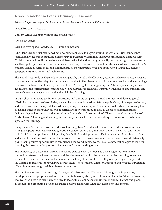## **Kristi Rennebohm Franz's Primary Classroom**

*Printed with permission from Dr. Rennebohm Franz, Sunnyside Elementary, Pullman, WA*

**Level:** Primary, Grades 1–2

**Content Areas:** Reading, Writing, and Social Studies

**Article:** (*enGauge*)

**Web site:** www.psd267.wednet.edu/~kfranz/index.htm

When Jane McLane first mentioned her upcoming sabbatical to bicycle around the world to Kristi Rennebohm Franz, a fellow teacher at Sunnyside Elementary in Pullman, Washington, she never dreamed she'd end up with 25 virtual companions. But somehow she did—Kristi's first and second graders! By carrying a digital camera and a small computer, Jane was able to communicate on a daily basis with Kristi and her students. Along the way, Kristi's students leaned to write, read, and communicate as they interacted with Jane about world languages, cultures, geography, art, time zones, and architecture.

The 6- and 7-year-olds in Kristi's class are energized by these kinds of learning activities. While technology takes up only a minor part of their day, it adds tremendous value to their learning. Kristi is a master teacher and a technology risk-taker. She likes—and builds upon—her children's energy levels, suggesting that "the tempo learning at this age matches the current tempo of technology." She respects her children's ingenuity, intelligence, and curiosity, and uses technology in ways that extend and enrich their learning.

In 1993, she started using the Internet by reading and writing simple text e-mail messages with local to global I\*EARN students and teachers. Today, she and her students have added Web site publishing, videotape production, and live video conferencing—all focused on exploring curricular topics. Kristi discovered early in this journey that by having children share their classroom curricular experiences through local to global telecommunications, their learning took on energy and inquiry beyond what she had ever imagined. The classroom became a place of "turbocharged" teaching and learning due to being connected to the real-world experiences of others who shared a passion for learning.

Using e-mail, Web sites, video, and video conferencing, Kristi's students learn to write, read, and communicate with global peers about water habitats, world languages, culture, art, and much more. The kids not only build critical thinking and problems solving skills, they build friendships as well. Their interaction allows them to identify and share their cultures with one another in ways that both affirm commonalties and uncover a world of diversity, giving them positive opportunities to comprehend the world in new ways. They use new technologies as tools for knowing themselves in the process of knowing and understanding others.

The immediacy of e-mail and Web site publishing enables Kristi's students to gain a cognitive hold on the connection between the ideas they send and the ideas embedded in other students' replies. Learning to read and write in this social context enables them to share what they think and know with global peers, just as it provides the essential ingredients for developing literacy skills. These students write for a purpose and with the expectation of learning more through collaborative communication.

The simultaneous use of text and digital images in both e-mail and Web site publishing provide powerful, developmentally appropriate realms for building technology, visual, and information literacies. Videoconferencing uses real-world tools to bring students face to face with distant peers, building multicultural literacy and global awareness, and promoting a vision for taking positive action with what they learn from one another.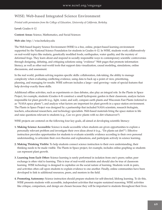# **WISE: Web-based Integrated Science Environment**

*Printed with permission from the College of Education, University of California, Berkeley.*

#### **Level:** Grades 4–12

**Content Areas:** Science, Mathematics, and Social Sciences

**Web site:** http://wise.berkeley.edu

The Web-based Inquiry Science Environment (WISE) is a free, online, project-based learning environment supported by the National Science Foundation for students in Grades 4–12. In WISE, students work collaboratively on real-world topics like malaria, genetically modified foods, earthquakes, water quality, and the mystery of deformed frogs. They learn about and respond in socially responsible ways to contemporary scientific controversies through designing, debating, and critiquing solutions using "evidence" Web pages that promote information literacy, as well as other real-world tools that support data visualization, causal modeling, simulations, online discussions, and assessment.

In the real world, problem solving requires specific skills: collaboration, risk-taking, the ability to manage complexity when evaluating conflicting evidence, using data to back up a point of view, prioritizing, planning, and managing for results. WISE software includes a large—and growing—suite of special features that help develop exactly these skills.

Additional offline activities, such as experiments or class debates, also play an integral role. In the Plants in Space Project, for example, students (Grades 4–8) construct a small hydroponic garden in their classroom, analyze factors responsible for plant growth (e.g., light, water, and soil), compare earth plants and Wisconsin Fast Plants (referred to as "NASA space plants"), and analyze what factors are important for plant growth in a space station environment. The Plants in Space Project was designed by a partnership that included NASA scientists, research biologists, teachers, educational researchers, and technology specialists. Web-based materials bring the space station to life and raise questions relevant to students (e.g., Can we grow plants with no dirt whatsoever?).

WISE projects are centered on the following four key goals, all aimed at developing scientific literacy:

- **1. Making Science Accessible:** Science is made accessible when students are given opportunities to explore a personally relevant problem and investigate their own ideas about it (e.g., "Do plants eat dirt?"). Effective instruction provides opportunities for students to evaluate scientific evidence according to their own personal understanding, to articulate their own theories and explanations, and participate actively in science learning.
- **2. Making Thinking Visible:** To help students connect science instruction to their own understanding, their thinking needs to be made visible. The Plants in Space project, for example, includes online graphing so students can represent plant growth.
- **3. Learning from Each Other:** Science learning is rarely performed in isolation from one's peers; rather, peer exchange is often vital to learning. This is true of real-world scientists and should also be true of classroom learning. WISE technology is designed to capitalize on the social nature of learning. Students work in pairs, and activities often call upon students to explain evidence to one another. Finally, online communities have been developed to link to additional resources, peers, and mentors in the field.
- **4. Promoting Autonomy:** Science instruction should prepare students for self-directed, lifelong learning. To do this, WISE presents students with accessible, independent activities that require sustained reasoning. WISE activities like critique, comparison, and design are chosen because they will be important to students throughout their lives.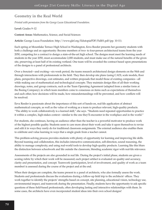# **Geometry in the Real World**

*Printed with permission from the George Lucas Educational Foundation.* 

#### **Level:** Grades 9–12

**Content Areas:** Mathematics, Science, and Social Sciences

**Article:** George Lucas Foundation: http://www.glef.org/EdutopiaPDF/Fall01.pdf (pp. 10-11).

Each spring at Mountlake Terrace High School in Washington, Eeva Reeder presents her geometry students with both a challenge and an opportunity: Become members of two- to four-person architectural teams from the year 2050, competing for a contract to design a state-of-the-art high school. The designs must meet the learning needs of students in the year 2050, must accommodate 2,000 students, and must make use of the natural benefits of the given site, preserving at least half of its existing wetland. One team will be awarded the contract based upon presentations of the designs to a panel of professional architects.

Over a frenzied—and exciting—six-week period, the teams research architectural design elements on the Web and through interactions with professionals in the field. They then develop site plans (using CAD), scale models, floor plans, perspective drawings, cost estimates, and written proposals that model those of existing companies—all while making use of mathematical and technological concepts. They maintain design files of all their working drawings, notes, and group contracts, such as the Team Operating Agreement (adapted from a similar form at the Boeing Company), in which team members come to consensus on items such as expectations of themselves and each other, how decisions will be made, how misunderstandings will be prevented, and how conflicts will be resolved.

Eeva Reeder is passionate about the importance of this sort of hands-on, real-life application of abstract mathematical concepts, as well as the value of working as a team to produce relevant, high-quality products. "The ability to work collaboratively is a learned skill," she says. "Students need repeated opportunities to practice it within a complex, high-stakes context—similar to the one they'll encounter in the workplace and in the world."

For students, she continues, having an audience other than the teacher is a powerful motivator to produce work of the highest possible quality. Students seem to care more about their work and take it upon themselves to revise and edit it in ways they rarely do for traditional classroom assignments. The external audience also enables them to celebrate and value learning in ways that a single grade from a teacher cannot.

This problem-solving process provides students with plenty of opportunity for learning and improving life skills. Beyond teaming and collaboration, this includes interactive communication, self-direction, sound reasoning, the ability to manage complexity, and using real-world tools to develop high-quality products. Learning like this blurs the distinction between schoolwork and life outside the classroom, blending academic rigor with real-life relevance.

Assessments of the projects are also grounded in real life. During the project's initial phase, students are given a scoring rubric by which their work will be measured; each project artifact is evaluated on quality and accuracy, clarity and presentation, and concept. Teamwork (participation, level of involvement, and quality of work as a team member) is assessed during the course of the project and at the end.

When their designs are complete, the teams present to a panel of architects, who also formally assess the work. Students and professionals discuss the evaluations during a follow-up field trip to the architects' offices. They work together to identify the projects' strengths based on concept, site planning, educational vision, technology use, environmental impact, and teamwork during the presentation. Finally, students have the opportunity to ask specific questions of these field-based professionals, often developing lasting and interactive relationships with them. In some cases, the architects have even incorporated student ideas into their own school designs!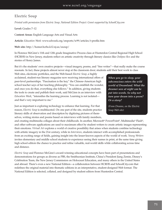# **Electric Soup**

*Printed with permission from Electric Soup, National Edition Project: Grant supported by SchoolCity.com*

**Level:** Grades 7–12

C**ontent Areas:** English Language Arts and Visual Arts

**Article:** *Education Week:* www.edweek.org/sreports/tc99/articles/t-profile.htm

**Web site:** http://homer.hcrhs.k12.nj.us/esoup/

In Florence McGinn's 11th and 12th grade Imaginative Process class at Hunterdon Central Regional High School (HCRHS) in New Jersey, students reflect on artistic creativity through literary classics like *Oedipus Rex* and the stories of Henry James.

But it's the students' own creative projects—visual imagery, poems, and "free writes"—that really make the course resonate. In fact, these projects almost never stop at the classroom door; students add their best work to class

Web sites, electronic portfolios, and the Web-based *Electric Soup*, a highly acclaimed, student-run literary magazine now receiving international offers of peer-level partnerships. "Fascination is the key," the Chinese-American high school teacher says of her teaching philosophy. "You can establish the wonder, and once you do that, everything else follows." In addition, giving students the tools to create and publish their work, said McGinn in an interview with *Education Week*, "intensifies the learning process. Learning is not isolated and that's very important to me."

Just as important is exploring technology to enhance that learning. For that reason, *Electric Soup* is multifaceted. On one part of the site, students practice literary skills of observation and description by digitizing pictures of themselves, writing stories and poems based on interviews with family members,

and creating multimedia collages about their childhoods. In another, Microsoft® PowerPoint®, Multimedia® Flash®, and other software applications are used to maximum effect by student writers to create artistic images representing their emotions. *Virtual Art* explores a world of creative possibility that arises when students combine technology with artistic imagery in the 21st century, while in *Interviews*, students interact with accomplished professionals from an exciting range of fields, gaining insight into the lesser-known aspects of the world of work. *Young Writers* invites elementary and middle school students to experience seeing their names in print, at the same time giving high school editors the chance to practice and refine valuable, real-world skills while collaborating across time and distance.

*Electric Soup* and Florence McGinn's award-winning educational concepts have been part of presentations and demonstrations for groups as diverse as PBS, the Smithsonian Institute, China's President Jiang Zemin, Disney's Celebration Team, the New Jersey Commission on Holocaust Education, and many others in the United States and abroad. There's even a new National Edition—a collaboration between HCRHS and SchoolCity.com that redefines the original material into thematic editions in an interpretative, student-designed Web format. The National Edition is selected, collated, and designed by student editors from Hunterdon Central.

*When you go to sleep, your subconscious enters the wild world of Dreamland. What the dreamer sees at night can be put into words. So why not turn your dream into a poem? Or a story?*

*(From Dreams, on the Electric Soup Web site)*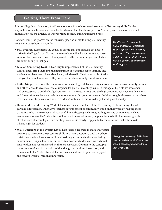# **Getting There From Here**

After reading this publication, it will seem obvious that schools need to embrace 21st century skills. Yet the very nature of institutions such as schools is to maintain the status quo. Don't be surprised when others don't immediately see the urgency of incorporating the new thinking reflected here.

Consider using the process on the following page as a way to bring 21st century skills into your school. As you do:

- **Stay Focused:** Remember, the goal is to ensure that our students are able to thrive in the Digital Age. Getting there from here will take commitment, perseverance, hard work, and careful analysis of whether your strategies and tactics are contributing to that goal.
- **Take on Something Doable:** Don't try to implement all of the 21st century skills at once. Bring them into the mainstream of standards-based learning and academic achievement, cluster-by-cluster, skill-by-skill. Identify a couple of skills that you know will resonate with your school and community. Build from there.
- **Build Bridges:** Advocate the use of common sense, logic, statistics, insights from the business community, humor, and other tactics to create a sense of urgency for your 21st century skills. In this age of high-stakes assessment, it will be necessary to build a bridge between the 21st century skills and the high academic achievement that is first and foremost in teachers' and administrators' minds. Do your homework. Build a strong bridge—convince others that the 21st century skills can add to students' viability in this knowledge-based, global society.
- **Honor and Extend Existing Work:** Chances are some, if not all, of the 21st century skills are being at least partially addressed by innovative teachers in your school or community. Build on that work by helping those educators to be more explicit and purposeful in addressing such skills, adding missing components such as assessments. Where the 21st century skills are not being addressed, help teachers to build them—along with effective uses of technology—into existing lessons. Go slowly—appeal to teachers' natural inclination to do what is right for students.
- **Make Decisions at the System Level:** Don't expect teachers to make individual decisions to incorporate 21st century skills into their classrooms until the school district has made a formal commitment to doing so. In this high-stakes testing environment, it is just too risky for individual teachers to dedicate instructional time to ideas not yet sanctioned by the school system. Commit to the concept at the system level; collaboratively build and align curriculum, instruction, and assessment to the 21st century skills; and create a culture of openness, support, and reward work toward that innovation.

*Don't expect teachers to make individual decisions to incorporate 21st century skills into their classrooms until the school district has made a formal commitment to doing so!* 

*Bring 21st century skills into the mainstream of standardsbased learning and academic achievement.*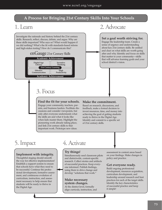# **A Process for Bringing 21st Century Skills Into Your Schools**

Investigate the rationale and history behind the 21st century skills. Research, reflect, discuss, debate, and argue. Why are these skills important? Who says so? What would happen if we did nothing? What's the fit with standards-based reform and high-stakes testing? How do I communicate this?





# 1. Learn 2. Advocate

#### **Set a goal worth striving for.**

Engage the leadership team. Create a sense of urgency and understanding about key 21st century skills. Be unified and clear on what skills are worth going after and why. Identify and focus on skills that matter to your community—skills that will advance learning goals and your school district's vision.

# 3. Focus

### **Find the fit for your schools.**

Engage your community, teachers, parents, and business leaders. Facilitate discussions and consider viewpoints, but only after everyone understands what the skills are and what it looks like when kids master them. Highlight the pioneering work already taking place, and link 21st century skills to that important work. Prototype new ideas.

#### **Make the commitment.**

Based on research, discussions, and feedback, make a formal decision to invest resources, time, and money into achieving the goal of getting students ready to thrive in the Digital Age. Identify and commit to a specific set of 21st century skills.

# 5. Impact 4. Activate

### **Implement with integrity.**

Thoughtful staging should smooth the way for effective implementation! Establish a support system to ensure that schools have what they need to be successful. Continue the professional development, formative assessment, and continuous evolution of curriculum, instruction, and assessment necessary to help ensure that students will be ready to thrive in the Digital Age.

### **Try things!**

Simultaneously seed classroom pilots and districtwide, content-specific research. Collect stories and artifacts of successful practices. Keep everyone informed. Publish findings, using them to drive change and develop "solutions that work."

#### **Make necessary system changes.**

At the district level, formally align curricula, instruction, and assessment in content areas based on your findings. Make changes in policy and practice.

#### **Get everyone ready.**

Build ongoing professional development, resources acquisition, curriculum development, and leadership around research and best practices for each of the target skills. Identify the key characteristics of successful practice and keep it simple!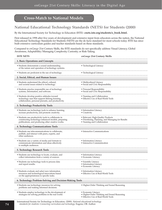# **Cross-Match to National Models**

# **National Educational Technology Standards (NETS) for Students (2000)**

By the International Society for Technology in Education (ISTE): **cnets.iste.org/students/s\_book.html.** 

First released in 1998 after five years of development and extensive input from educators across the nation, the National Educational Technology Standards for Students (NETS) are the de facto standard for most schools today. ISTE has since built extensive curriculum guides and teacher standards based on these standards.

Compared to *enGauge* 21st Century Skills, the ISTE standards do not specifically address Visual Literacy, Global Awareness, Adaptability/Managing Complexity, Curiosity, or Risk-Taking.

| <b>ISTE NETS</b>                                                                                                                                               | enGauge 21st Century Skills                                                                                          |
|----------------------------------------------------------------------------------------------------------------------------------------------------------------|----------------------------------------------------------------------------------------------------------------------|
| 1. Basic Operations and Concepts                                                                                                                               |                                                                                                                      |
| • Students demonstrate a sound understanding<br>of the nature and operation of technology systems.                                                             | • Technological Literacy                                                                                             |
| • Students are proficient in the use of technology.                                                                                                            | • Technological Literacy                                                                                             |
| 2. Social, Ethical, and Human Issues                                                                                                                           |                                                                                                                      |
| $\bullet$ Students understand the ethical, cultural.<br>and societal issues related to technology.                                                             | • Multicultural Literacy<br>• Social and Civic Responsibility                                                        |
| • Students practice responsible use of technology<br>systems, information, and software.                                                                       | • Personal Responsibility<br>• Social and Civic Responsibility                                                       |
| • Students develop positive attitudes toward<br>technology uses that support lifelong learning,<br>collaboration, personal pursuits, and productivity.         | • Teaming and Collaboration<br>• Effective Use of Real-World Tools                                                   |
| 3. Technology Productivity Tools                                                                                                                               |                                                                                                                      |
| • Students use technology tools to enhance learning,<br>increase productivity, and promote creativity.                                                         | • Information Literacy<br>• Creativity                                                                               |
| • Students use productivity tools to collaborate in<br>constructing technology-enhanced models, preparing<br>publications, and producing other creative works. | Relevant, High-Quality Products<br>• Prioritizing, Planning, and Managing for Results<br>• Teaming and Collaboration |
| 4. Technology Communications Tools                                                                                                                             |                                                                                                                      |
| • Students use telecommunications to collaborate,<br>publish, and interact with peers, experts, and<br>other audiences.                                        | • Interactive Communications                                                                                         |
| • Students use a variety of media and formats to<br>communicate information and ideas effectively<br>to multiple audiences.                                    | • Information Literacy<br>• Interactive Communication                                                                |
| 5. Technology Research Tools                                                                                                                                   |                                                                                                                      |
| • Students use technology to locate, evaluate, and<br>collect information from a variety of sources.                                                           | • Information Literacy<br>• Economic Literacy                                                                        |
| • Students use technology tools to process data<br>and report results.                                                                                         | • Scientific Literacy<br>• Information Literacy<br>• Economic Literacy                                               |
| • Students evaluate and select new information<br>resources and technological innovations based<br>on the appropriateness to specific tasks.                   | • Information Literacy<br>• Effective Use of Real-World Tools                                                        |
| 6. Technology Problem-Solving and Decision-Making Tools                                                                                                        |                                                                                                                      |
| • Students use technology resources for solving<br>problems and making informed decisions.                                                                     | • Higher-Order Thinking and Sound Reasoning                                                                          |
| • Students employ technology in the development of<br>strategies for solving problems in the real world.                                                       | • Economic Literacy<br>• Higher-Order Thinking and Sound Reasoning<br>• Effective Use of Real-World Tools            |

International Society for Technology in Education. (2000). *National educational technology standards for students: Connecting curriculum and technology*. Eugene, OR: Author.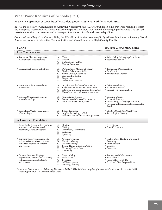## **What Work Requires of Schools (1991)**

#### By the U.S. Department of Labor: **http://wdr.doleta.gov/SCANS/whatwork/whatwork.html.**

In 1991 the Secretary's Commission on Achieving Necessary Skills (SCANS) published skills that were required to enter the workplace successfully. SCANS identified workplace know-how that defined effective job performance. The list had two elements: five competencies and a three-part foundation of skills and personal qualities.

Compared to *enGauge* 21st Century Skills, the SCANS proficiencies do not explicitly address Multicultural Literacy, Global Awareness, aspects of Interactive Communication and Visual Literacy, or High-Quality Results.

| <b>SCANS</b>                                                                                                                 |                                  |                                                                                                                                                                | enGauge 21st Century Skills                                                                                                                 |
|------------------------------------------------------------------------------------------------------------------------------|----------------------------------|----------------------------------------------------------------------------------------------------------------------------------------------------------------|---------------------------------------------------------------------------------------------------------------------------------------------|
| <b>Five Competencies</b>                                                                                                     |                                  |                                                                                                                                                                |                                                                                                                                             |
| · Resources: Identifies, organizes,<br>plans and allocates resources                                                         | А.<br>В.<br>C.<br>D.             | Time<br>Money<br>Material and Facilities<br>Human Resources                                                                                                    | • Adaptability/Managing Complexity<br>• Economic Literacy                                                                                   |
| · Interpersonal: Works with others                                                                                           | А.<br>В.<br>C.<br>D.<br>Е.<br>F. | Participates as Member of a Team<br><b>Teaches Others New Skills</b><br>Serves Clients/Customers<br>Exercises Leadership<br>Negotiates<br>Works with Diversity | • Teaming and Collaboration<br>• Self-Direction<br>• Multicultural Literacy                                                                 |
| • Information: Acquires and uses<br>information                                                                              | А.<br>В.<br>C.<br>D.             | Acquires and Evaluates Information<br>Organizes and Maintains Information<br>Interprets and Communicates Information<br>Uses Computers to Process Information  | • Information Literacy<br>• Economic Literacy<br>• Interactive Communication                                                                |
| • Systems: Understands complex<br>inter-relationships                                                                        | А.<br>В.<br>C.                   | Understands Systems<br>Monitors and Corrects Performance<br>Improves or Designs Systems                                                                        | • Scientific Literacy<br>• Economic Literacy<br>· Adaptability/Managing Complexity<br>· Prioritizing, Planning, and Managing for<br>Results |
| • Technology: Works with a variety<br>of technologies                                                                        | А.<br>В.<br>C.                   | Selects Technology<br>Applies Technology to Task<br>Maintains and Troubleshoots Equipment                                                                      | • Effective Use of Real-World Tools<br>• Technological Literacy                                                                             |
| <b>A Three-Part Foundation</b>                                                                                               |                                  |                                                                                                                                                                |                                                                                                                                             |
| · Basics Skills: Reads, writes, performs<br>arithmetic and mathematical<br>operations, listens, and speaks                   | А.<br>В.<br>C.<br>D.<br>Е.       | Reading<br>Writing<br>Arithmetic/Mathematics<br>Listening<br>Speaking                                                                                          | • Basic Literacy<br>• Scientific Literacy                                                                                                   |
| • Thinking Skills: Thinks creatively,<br>makes decisions, solves problems,<br>visualizes, knows how to learn,<br>and reasons | А.<br>В.<br>C.<br>D.<br>Ε.<br>F. | Creative Thinking<br>Decision Making<br>Problem Solving<br>Seeing Things in the Mind's Eye<br>Knowing How to Learn<br>Reasoning                                | • Higher-Order Thinking and Sound<br>Reasoning<br>• Visual Literacy<br>• Curiosity<br>• Creativity                                          |
| • Personal Qualities: Displays<br>responsibility, self-esteem, sociability,<br>self-management, and integrity<br>and honesty | А.<br>В.<br>C.<br>D.<br>Е.       | Responsibility<br>Self-Esteem<br>Sociability<br>Self-Management<br>Integrity/Honesty                                                                           | • Teaming and Collaboration<br>• Self-Direction<br>• Personal Responsibility<br>• Social and Civic Responsibility                           |

Secretary's Commission on Achieving Necessary Skills. (1991). *What work requires of schools: A SCANS report for America: 2000*. Washington, DC: U.S. Department of Labor.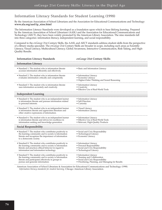## **Information Literacy Standards for Student Learning (1998)**

By the American Association of School Librarians and the Association for Educational Communications and Technology: **www.ala.org/aasl/ip\_nine.html** 

The Information Literacy Standards were developed as a foundation upon which to base lifelong learning. Prepared by the American Association of School Librarians (AASL) and the Association for Educational Communications and Technology (AECT), they have been widely promoted by the American Library Association. The nine standards fall into three categories: information literacy, independent learning, and social responsibility.

Compared to the *enGauge* 21st Century Skills, the AASL and AECT standards address student skills from the perspective of a library media specialist. The *enGauge* 21st Century Skills are broader in scope, including such areas as Scientific Literacy, Visual Literacy, Multicultural Literacy, Global Awareness, Interactive Communication, Risk-Taking, and High-Quality Results.

| <b>Information Literacy Standards</b>                                                                                                                                                                              | enGauge 21st Century Skills                                                                                                                      |
|--------------------------------------------------------------------------------------------------------------------------------------------------------------------------------------------------------------------|--------------------------------------------------------------------------------------------------------------------------------------------------|
| <b>Information Literacy</b>                                                                                                                                                                                        |                                                                                                                                                  |
| • Standard 1: The student who is information literate<br>accesses information efficiently and effectively.                                                                                                         | • Basic and Information Literacy                                                                                                                 |
| • Standard 2: The student who is information literate<br>evaluates information critically and competently.                                                                                                         | • Information Literacy<br>• Economic Literacy<br>• Higher-Order Thinking and Sound Reasoning                                                     |
| • Standard 3: The student who is information literate<br>uses information accurately and creatively.                                                                                                               | • Information Literacy<br>• Creativity<br>• Effective Use of Real-World Tools                                                                    |
| <b>Independent Learning</b>                                                                                                                                                                                        |                                                                                                                                                  |
| • Standard 4: The student who is an independent learner<br>is information literate and pursues information related<br>to personal interests.                                                                       | • Information Literacy<br>• Self-Direction<br>• Curiosity                                                                                        |
| • Standard 5: The student who is an independent learner<br>is information literate and appreciates literature and<br>other creative expressions of information.                                                    | • Visual Literacy<br>• Information Literacy                                                                                                      |
| • Standard 6: The student who is an independent learner<br>is information literate and strives for excellence in<br>information seeking and knowledge generation.                                                  | • Information Literacy<br>• Effective Use of Real-World Tools<br>• Relevant, High-Quality Products                                               |
| <b>Social Responsibility</b>                                                                                                                                                                                       |                                                                                                                                                  |
| • Standard 7: The student who contributes positively to<br>the learning community and to society is information<br>literate and recognizes the importance of information<br>to a democratic society.               | • Social and Civic Responsibility<br>• Technological Literacy<br>• Economic Literacy                                                             |
| • Standard 8: The student who contributes positively to<br>the learning community and to society is information<br>literate and practices ethical behavior in regard to<br>information and information technology. | • Information Literacy<br>· Personal Responsibility<br>• Social and Civic Responsibility<br>• Technological Literacy                             |
| • Standard 9: The student who contributes positively to<br>the learning community and to society is information<br>literate and participates effectively in groups to<br>pursue and generate information.          | • Information Literacy<br>• Teaming and Collaboration<br>· Social and Civic Responsibility<br>• Prioritizing, Planning, and Managing for Results |

American Association of School Librarians & Association for Educational Communications and Technology. (1998). *Information literacy standards for student learning*. Chicago: American Library Association.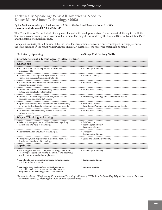### **Technically Speaking: Why All Americans Need to Know More About Technology (2002)**

By the National Academy of Engineering (NAE) and the National Research Council (NRC): **www.nap.edu/books/0309082625/html/.**

This Committee for Technological Literacy was charged with developing a vision for technological literacy in the United States and recommending ways to achieve that vision. The project was funded by the National Science Foundation (NSF) and the Battelle Memorial Institute.

Compared to *enGauge* 21st Century Skills, the focus for this committee's work is on Technological Literacy, just one of the skills included in the *enGauge* 21st Century Skill set. Nevertheless, the following match can be made:

| <b>Technically Speaking</b> |                                                                                                                                                                      | enGauge 21st Century Skills                                               |  |  |
|-----------------------------|----------------------------------------------------------------------------------------------------------------------------------------------------------------------|---------------------------------------------------------------------------|--|--|
|                             | Characteristics of a Technologically Literate Citizen                                                                                                                |                                                                           |  |  |
|                             | Knowledge                                                                                                                                                            |                                                                           |  |  |
|                             | • Recognizes the pervasive presence of technology<br>in everyday life.                                                                                               | • Technological Literacy                                                  |  |  |
|                             | • Understands basic engineering concepts and terms,<br>such as systems, constraints, and trade-offs.                                                                 | • Scientific Literacy                                                     |  |  |
|                             | $\bullet$ Is familiar with the nature and limitations of the<br>engineering design process                                                                           | • Scientific Literacy                                                     |  |  |
|                             | • Knows some of the ways technology shapes human<br>history and people shape technology                                                                              | • Multicultural Literacy                                                  |  |  |
|                             | • Knows that all technologies entail risk, some that can<br>be anticipated and some that cannot.                                                                     | • Prioritizing, Planning, and Managing for Results                        |  |  |
|                             | • Appreciates that the development and use of technology<br>involving trade-offs and a balance of costs and benefits.                                                | • Economic Literacy<br>• Prioritizing, Planning, and Managing for Results |  |  |
|                             | • Understands that technology reflects the values and<br>culture of society.                                                                                         | • Multicultural Literacy                                                  |  |  |
|                             | <b>Ways of Thinking and Acting</b>                                                                                                                                   |                                                                           |  |  |
|                             | • Asks pertinent questions, of self and others, regarding<br>the benefits and risks of technology.                                                                   | • Self-Direction<br>· Technological Literacy<br>• Economic Literacy       |  |  |
|                             | • Seeks information about new technologies.                                                                                                                          | $\bullet$ Curiosity<br>· Technological Literacy                           |  |  |
|                             | • Participates, when appropriate, in decisions about the<br>development and use of technology.                                                                       | • Social and Civic Responsibility                                         |  |  |
|                             | Capabilities                                                                                                                                                         |                                                                           |  |  |
|                             | • Has a range of hands-on skills, such as using a computer<br>for word processing and surfing the Internet and operating<br>a variety of home and office appliances. | • Technological Literacy                                                  |  |  |
|                             | • Can identify and fix simple mechanical or technological<br>problems at home or work.                                                                               | • Technological Literacy                                                  |  |  |
|                             | • Can apply basic mathematical concepts related to<br>probability, scale, and estimation to make informed<br>judgments about technological risks and benefits.       | • Scientific Literacy                                                     |  |  |
|                             |                                                                                                                                                                      |                                                                           |  |  |

National Academy of Engineering: Committee on Technological Literacy. (2002). *Technically speaking: Why all Americans need to know more about technology*. Washington, DC: National Academy Press.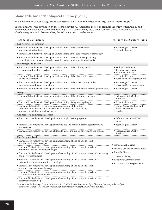# **Standards for Technological Literacy (2000)**

#### By the International Technology Education Association (ITEA): **www.iteawww.org/TAA/PDFs/xstnd.pdf.**

These standards were developed by the Technology for All Americans Project to promote the study of technology and technological literacy. Compared to the *enGauge* 21st Century Skills, these skills focus on classes specializing in the study of technology as a topic. Nevertheless, the following match can be made:

| <b>Technological Literacy</b>                                                                                                                                                           | enGauge 21st Century Skills                                                 |  |  |
|-----------------------------------------------------------------------------------------------------------------------------------------------------------------------------------------|-----------------------------------------------------------------------------|--|--|
| The Nature of Technology                                                                                                                                                                |                                                                             |  |  |
| • Standard 1: Students will develop an understanding of the characteristics<br>and scope of technology.                                                                                 | · Technological Literacy<br>• Scientific Literacy                           |  |  |
| • Standard 2: Students will develop an understanding of the core concepts of technology.                                                                                                |                                                                             |  |  |
| • Standard 3: Students will develop an understanding of the relationships among<br>technologies and the connections between technology and other fields of study.                       |                                                                             |  |  |
| <b>Technology and Society</b>                                                                                                                                                           |                                                                             |  |  |
| • Standard 4: Students will develop an understanding of the cultural, social,<br>economic, and political effects of technology.                                                         | · Multicultural Literacy<br>· Technological Literacy<br>· Economic Literacy |  |  |
| • Standard 5: Students will develop an understanding of the effects of technology<br>on the environment.                                                                                | • Scientific Literacy<br>· Social and Civic Responsibility                  |  |  |
| • Standard 6: Students will develop an understanding of the role of society in the<br>development and use of technology.                                                                | · Technological Literacy<br>· Social and Civic Responsibility               |  |  |
| • Standard 7: Students will develop an understanding of the influence of technology on history.                                                                                         | · Technological Literacy                                                    |  |  |
| Design                                                                                                                                                                                  |                                                                             |  |  |
| • Standard 8: Students will develop an understanding of the attributes of design.                                                                                                       | · Relevant, High-Quality<br>Products                                        |  |  |
| • Standard 9: Students will develop an understanding of engineering design.                                                                                                             | • Scientific Literacy                                                       |  |  |
| • Standard 10: Students will develop an understanding of the role of<br>troubleshooting, research and development, invention and innovation,<br>and experimentation in problem solving. | • Higher-Order Thinking and<br>Sound Reasoning<br>• Creativity              |  |  |
| Abilities for a Technological World                                                                                                                                                     |                                                                             |  |  |
| • Standard 11: Students will develop abilities to apply the design process.                                                                                                             | • Effective Use of Real-World<br>Tools                                      |  |  |
| • Standard 12: Students will develop abilities to use and maintain technological products<br>and systems.                                                                               | • Technological Literacy                                                    |  |  |
| • Standard 13: Students will develop abilities to assess the impact of products and systems.                                                                                            | • Relevant, High-Quality<br>Products                                        |  |  |
| The Designed World                                                                                                                                                                      |                                                                             |  |  |
| • Standard 14: Students will develop an understanding of and be able to select<br>and use medical technologies.                                                                         | • Technological Literacy                                                    |  |  |
| • Standard 15: Students will develop an understanding of and be able to select and use<br>agricultural and related biotechnologies.                                                     | • Effective Use of Real-World Tools                                         |  |  |
| • Standard 16: Students will develop an understanding of and be able to select and use energy<br>and power technologies.                                                                | • Scientific Literacy<br>• Economic Literacy                                |  |  |
| • Standard 17: Students will develop an understanding of and be able to select and use<br>information and communication technologies.                                                   | • Interactive Communication<br>• Social and Civic Responsibility            |  |  |
| • Standard 18: Students will develop an understanding of and be able to select<br>and use transportation technologies.                                                                  |                                                                             |  |  |
| • Standard 19: Students will develop an understanding of and be able to select and<br>use manufacturing technologies.                                                                   |                                                                             |  |  |
| • Standard 20: Students will develop an understanding of and be able to select and use<br>construction technologies.                                                                    |                                                                             |  |  |
| International Technology Education Association (2000), Standards for technological literacy: Content for the study of                                                                   |                                                                             |  |  |

International Technology Education Association (2000). *Standards for technological literacy: Content for the study of technology*. Reston, VA: Author. Available at: **www.iteawww.org/TAA/PDFs/xstnd.pdf.**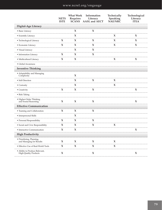# www.ncrel.org/engauge

|                                                         | <b>NETS</b><br><b>ISTE</b> | <b>What Work</b><br>Requires<br><b>SCANS</b> | Information<br>Literacy<br><b>AASL</b> and <b>AECT</b> | Technically<br><b>Speaking</b><br><b>NAE/NRC</b> | Technological<br>Literacy<br><b>ITEA</b> |
|---------------------------------------------------------|----------------------------|----------------------------------------------|--------------------------------------------------------|--------------------------------------------------|------------------------------------------|
| Digital-Age Literacy                                    |                            |                                              |                                                        |                                                  |                                          |
| • Basic Literacy                                        |                            | X                                            | X                                                      |                                                  |                                          |
| • Scientific Literacy                                   |                            | X                                            |                                                        | X                                                | X                                        |
| · Technological Literacy                                | X                          | X                                            | X                                                      | х                                                | Х                                        |
| • Economic Literacy                                     | X                          | X                                            | X                                                      | X                                                | X                                        |
| • Visual Literacy                                       |                            | X                                            | X                                                      |                                                  |                                          |
| <br>• Information Literacy                              | X                          | X                                            | X                                                      |                                                  |                                          |
| • Multicultural Literacy                                | X                          | X                                            |                                                        | X                                                | X                                        |
| • Global Awareness                                      |                            |                                              |                                                        |                                                  |                                          |
| <b>Inventive Thinking</b>                               |                            |                                              |                                                        |                                                  |                                          |
| • Adaptability and Managing<br>Complexity               |                            | X                                            |                                                        |                                                  |                                          |
| • Self-Direction                                        |                            | X                                            | X                                                      | Х                                                |                                          |
| .<br>$\bullet$ Curiosity                                |                            | X                                            |                                                        | х                                                |                                          |
| • Creativity                                            | X                          | X                                            | Х                                                      |                                                  | X                                        |
| • Risk Taking                                           |                            |                                              |                                                        |                                                  |                                          |
| • Higher-Order Thinking<br>and Sound Reasoning          | X                          | X                                            | X                                                      |                                                  | X                                        |
| <b>Effective Communication</b>                          |                            |                                              |                                                        |                                                  |                                          |
| • Teaming and Collaboration                             | X                          | X                                            | X                                                      |                                                  |                                          |
| • Interpersonal Skills                                  |                            | X                                            |                                                        |                                                  |                                          |
| • Personal Responsibility                               | X                          | X                                            | X                                                      |                                                  |                                          |
| · Social and Civic Responsibility                       | Х                          | X                                            | .<br>X                                                 | х                                                |                                          |
| • Interactive Communication                             | X                          | X                                            |                                                        |                                                  | X                                        |
| <b>High Productivity</b>                                |                            |                                              |                                                        |                                                  |                                          |
| · Prioritizing, Planning,<br>and Managing for Results   | X                          | X                                            | X                                                      | X                                                |                                          |
| • Effective Use of Real-World Tools                     | X.                         | X                                            | X                                                      | X                                                |                                          |
| • Ability to Produce Relevant,<br>High-Quality Products | X                          |                                              | X                                                      |                                                  | X                                        |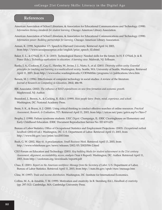# **References**

- American Association of School Librarians, & Association for Educational Communications and Technology. (1998). *Information literacy standards for student learning*. Chicago: American Library Association.
- American Association of School Librarians, & Association for Educational Communications and Technology. (1998). *Information power: Building partnerships for learning*. Chicago: American Library Association.
- Annan, K. (1998, September 17). Speech to Harvard University. Retrieved April 14, 2003, from http://www.seoulpeaceprize.or.kr/english/prize\_speech\_02.shtml
- Baker, E. L., & O'Neil, H. F., Jr. (2003). Technological fluency: Needed skills for the future. In H. F. O'Neil, Jr. & R. Perez (Eds.), *Technology applications in education: A learning view*. Mahwah, NJ: Erlbaum.
- Banks, J. A., Cookson, P., Gay, G., Hawley, W., Irvine, J. J., Nieto, S., et al. (2001). *Diversity within unity: Essential principles for teaching and learning in a multicultural society*. Seattle, WA: University of Seattle, Washington. Retrieved April 11, 2003, from http://www.educ.washington.edu/COEWebSite/programs/ci/publications/dwu.htm
- Berson, M. J. (1996). Effectiveness of computer technology in social studies: A review of the literature. *Journal of Research on Computing in Education*, 28(4), 486-98.
- BJK Associates. (2002). *The influence of R&D expenditures on new firm formation and economic growth*. Maplewood, NJ: Author.
- Bransford, J., Brown, A., & Cocking, R. (Eds.). (1999). *How people learn: Brain, mind, experience, and school*. Washington, DC: National Academy Press.
- Brem, S. K., & Boyes, A. J. (2000). Using critical thinking to conduct effective searches of online resources. *Practical Assessment, Research, & Evaluation*, 7(7). Retrieved April 11, 2003, from http://ericae.net/pare/getvn.asp?v=7&n=7
- Brophy, J. (1998). Failure syndrome students. *ERIC Digest*. Champaign, IL: ERIC Clearinghouse on Elementary and Early Childhood Education. (ERIC Document Reproduction Service No. ED 419 625)
- Bureau of Labor Statistics, Office of Occupational Statistics and Employment Projections. (2003). *Occupational outlook handbook* (2002-03 ed.). Washington, DC: U.S. Department of Labor. Retrieved April 13, 2003, from http://www.bls.gov/oco/print/oco2003.htm
- Bush, G. W. (2002, May 6). A proclamation. *Small Business Week*. Retrieved April 13, 2003, from http://www.whitehouse.gov/news/releases/2002/05/20020506-2.html
- CEO Forum on Education and Technology. (2001). *Key building blocks for student achievement in the 21st century: Assessment, alignment, accountability, access, analysis* (Year 4 Report). Washington, DC: Author. Retrieved April 11, 2003, from http://ceoforum.org/downloads/report4.pdf
- Chao, E. (2001). *Report on the American workforce: Message from the Secretary of Labor*. U.S. Department of Labor, Bureau of Labor Statistics. Retrieved April 11, 2003, from http://stats.bls.gov/opub/rtaw/message.htm
- Cline, W. (1997). *Trade and income distribution*. Washington, DC: Institute for International Economics.
- Collins, M. A., & Amabile, T. M. (1999). Motivation and creativity. In R. Sternberg (Ed.), *Handbook of creativity* (pp. 297-312). Cambridge, MA: Cambridge University Press.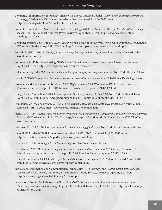#### www.ncrel.org/engauge

- Committee on Information Technology Literacy & National Research Council. (1999). *Being fluent with information technology*. Washington, DC: National Academy Press. Retrieved April 14, 2003, from http://www.nap.edu/html/beingfluent/notice.html
- Committee on Workforce Needs in Information Technology. (2001). *Building a workforce for the information economy*. Washington, DC: National Academy Press. Retrieved April 11, 2003, from http://books.nap.edu/html/ building\_workforce/
- Computer Systems Policy Project. (2000). *Building the foundation of the networked world* (CSPP Pamphlet). Washington, DC: Author. Retrieved April 11, 2003, from http://www.cspp.org/reports/networkedworld.pdf
- Cornish, E. (Ed.). (1996). *Exploring your future: Living, learning, and working in the Information Age*. Bethesda, MD: World Future Society.
- Corporation for Public Broadcasting. (2003). *Connected to the future: A report on children's Internet use*. Retrieved April 7, 2003, from http://www.cpb.org/ed/resources/connected/
- Csikszentmihalyi, M. (1996). *Creativity: Flow and the psychology of discovery and invention*. New York: Harper Collins.
- Dweck, C. (2000). *Self-theories: Their role in motivation, personality, and development*. Philadelphia: Psychology Press.
- Economics and Statistics Administration. (2002). *Digital economy 2000*. Washington, DC: U.S. Department of Commerce. Retrieved April 13, 2003, from http://www.esa.doc.gov/pdf/DE2002r1.pdf
- Foreign Policy Association. (2000). *Citizens' guide to U.S. foreign policy: Election 2000*. New York: Author. Retrieved April 14, 2003, from http://www.fpa.org/topics\_info2414/topics\_info\_show.htm?doc\_id=38476
- Foundation for Teaching Economics. (1996). *Voluntary national content standards in economics*. New York: Author. Retrieved April 14, 2003, http://www.fte.org/teachers/nvcs/nvcs.htm
- Franz, K. R. (1999). *WRITE to care framework: Writing and reading integrating technology into education to make a difference in our world*. Retrieved April 11, 2003, from http://www.psd267.wednet.edu/~kfranz/Literacy/WRITEtoCare/ writetocare.htm
- Friedman, T. L. (1999). *The lexus and the olive tree: Understanding globalization*. New York: Farrar, Straus, and Giroux.
- Gates, B. (1999, March 22). Bill Gates' new rules. *Time, 153*(11), 72-82. Retrieved April 11, 2003, from http://www.time.com/time/reports/gatesbook/gatesbook1.html
- Goleman, D. (1998). *Working with emotional intelligence*. New York: Bantam Books.
- Gonzalez, K. (2002). *Defining, assessing information and communication technologies (ICT) literacy*. Princeton, NJ: Educational Testing Services. Retrieved April 11, 2003, from *http://www.ets.org/news/02050701.html*
- Grunwald Associates. (2000). *Children, families, and the Internet*. Burlingame, CA: Author. Retrieved April 14, 2003, from http://www.grunwald.com/survey/survey\_content.html
- International Information and Communication Technologies (ICT) Literacy Panel. (2002). *Digital transformation: A framework for ICT literacy*. Princeton, NJ: Educational Testing Services. Retrieved April 11, 2003, from http://www.ets.org/research/ictliteracy/ictreport.pdf
- International Society for Technology in Education. (2000). *National educational technology standards for students: Connecting curriculum and technology*. Eugene, OR: Author. Retrieved April 11, 2003, from http://cnets.iste.org/ students/s\_book.html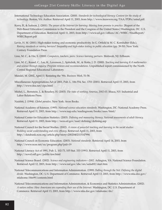- International Technology Education Association. (2000). *Standards for technological literacy: Content for the study of technology*. Reston, VA: Author. Retrieved April 11, 2003, from http://www.iteawww.org/TAA/PDFs/xstnd.pdf.
- Kerry, B., & Isakson, J. (2001). *The power of the Internet for learning: Moving from promise to practice*. [Report of the Web-Based Education Commission to the President and the Congress of the United States.] Washington, DC: U.S. Department of Education. Retrieved April 11, 2003, from http://www.ed.gov/offices/AC/WBEC/FinalReport/ WBECReport.pdf
- Levin, H. M. (2001). High-stakes testing and economic productivity. In G. Orfield & M. C. Kornhaber (Eds.), *Raising standards or raising barriers? Inequality and high-stakes testing in public education* (pp. 39-50). New York: Century Foundation Press.
- Linn, M. C., & Hsi, S. (2000). *Computers, teachers, peers: Science learning partners*. Mahwah, NJ: Erlbaum.
- Linn, M. C., Kessel, C., Lee, K., Levenson, J., Spitulnik, M., & Slotta, J. D. (2000). *Teaching and learning K-8 mathematics and science through inquiry: Program reviews and recommendations*. Unpublished report commissioned by the North Central Regional Educational Laboratory.
- Mandel, M. (2002, April 1). Restating the '90s. *Business Week*, 51-58.
- Miscellaneous Appropriations Act of 2001, Pub. L. 106-554, Sec. 1701 (2001). Retrieved April 15, 2003, from http://www.ifea.net/cipa.html
- Mishel, L., Bernstein, J., & Boushey, H. (2003). *The state of working America*, *2002-03*. Ithaca, NY: Industrial and Labor Relations Press.
- Naisbitt, J. (1994). *Global paradox*. New York: Avon Books.
- National Academy of Sciences. (1995). *National science education standards*. Washington, DC: National Academy Press. Retrieved April 11, 2003, from http://www.nap.edu/readingroom/books/nses/html/
- National Center for Education Statistics. (2003). *Defining and measuring literacy. National assessments of adult literacy*. Retrieved April 11, 2003, from http://nces.ed.gov/naal/defining/defining.asp
- National Council for the Social Studies. (2002). *A vision of powerful teaching and learning in the social studies: Building social understanding and civic efficacy*. Retrieved April 11, 2003, from http://databank.ncss.org/article.php?story=20020402115147994
- National Council on Economic Education. (2003). *National standards*. Retrieved April 14, 2003, from http://www.ncee.net/ea/program.php?pid=19
- National Literacy Act of 1991, Pub. L. 102-73, 105 Stat. 333 (1991). Retrieved April 11, 2003, from http://novel.nifl.gov/public-law.html
- National Science Board. (2002). *Science and engineering indicators—2002*. Arlington, VA: National Science Foundation. Retrieved April 12, 2003, from http://www.nsf.gov/sbe/srs/seind02/start.htm
- National Telecommunications and Information Administration. (1999). F*alling through the Net: Defining the digital divide*. Washington, DC: U.S. Department of Commerce. Retrieved April 13, 2003, from http://www.ntia.doc.gov/ ntiahome/fttn99/contents.html
- National Telecommunications and Information Administration, & Economics and Statistics Administration. (2002). *A nation online: How Americans are expanding their use of the Internet*. Washington, DC: U.S. Department of Commerce. Retrieved April 13, 2003, from http://www.ntia.doc.gov/ntiahome/dn/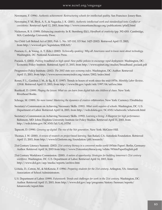Newmann, F. (1996). *Authentic achievement: Restructuring schools for intellectual quality*. San Francisco: Jossey-Bass.

- Newmann, F. M., Bryk, A. S., & Nagaoka, J. K. (2001). *Authentic intellectual work and standardized tests: Conflict or coexistence*. Retrieved April 12, 2003, from http://www.consortiumchicago.org/publications/p0a02.html
- Nickerson, R. S. (1999). Enhancing creativity. In R. Sternberg (Ed.), *Handbook of creativity* (pp. 392-430). Cambridge, MA: Cambridge University Press.
- No Child Left Behind Act of 2001, Pub. L. No. 107-110, 115 Stat. 1425 (2002). Retrieved April 15, 2003, from http://www.ed.gov/legislation/ESEA02/
- Pearson, G., & Young, A. T. (Eds.). (2002). *Technically speaking: Why all Americans need to know more about technology*. Washington, DC: National Academies Press.
- Pociask, S. (2002). Putting broadband on high speed: New public policies to encourage rapid deployment. Washington, DC: Economic Policy Institute. Retrieved April 13, 2003, from http://www.epinet.org/studies/broadband\_pociask.pdf
- Progressive Policy Institute. (2002). *The 2002 state new economy index*. Washington, DC: Author. Retrieved April 13, 2003, from http://www.neweconomyindex.org/states/2002/index.html
- Rones, P. L., Gardner, J. M., & Ilg, R. E. (1997). Trends in hours of work since the mid-1970s. *Monthly Labor Review*, *120*(4). Retrieved April 13, 2003, from http://www.bls.gov/opub/mlr/1997/04/art1exc.htm
- Rushkoff, D. (1999). *Playing the future: What we can learn from digital kids aka children of chaos*. New York: Riverhead Books.
- Schrage, M. (1989). *No more teams! Mastering the dynamics of creative collaboration*. New York: Currency/Doubleday.
- Secretary's Commission on Achieving Necessary Skills. (1991). *What work requires of schools*. Washington, DC: U.S. Department of Labor. Retrieved April 14, 2003, from http://wdr.doleta.gov/SCANS/whatwork/whatwork.html
- Secretary's Commission on Achieving Necessary Skills. (1992). *Learning a living: A blueprint for high performance*. Baltimore, MD: Johns Hopkins University Institute for Policy Studies. Retrieved April 11, 2003, from http://wdr.doleta.gov/SCANS/lal/LAL.HTM
- Tapscott, D. (1998). *Growing up digital: The rise of the Net generation*. New York: McGraw-Hill.
- Thomas, J. W. (2000). *A review of research on project-based learning*. San Rafael, CA: Autodesk Foundation. Retrieved April 13, 2003, from http://www.k12reform.org/foundation/pbl/research/
- 21st Century Literacy Summit. (2002). *21st century literacy in a converent media world* (White Paper). Berlin, Germany: Author. Retrieved April 14, 2003 from http://www.21stcenturyliteracy.org/white/WhitePaperEnglish.pdf
- 21st Century Workforce Commission. (2000). *A nation of opportunity: Strategies for building tomorrow's 21st century workforce*. Washington, DC: U.S. Department of Labor. Retrieved April 14, 2003, from http://www.dol.gov/asp/media/reports/archive.htm
- Uchida, D., Cetron, M., & McKenzie, F. (1996). *Preparing students for the 21st century*. Arlington, VA: American Association of School Administrators.
- U.S. Department of Labor. (1999). *Futurework: Trends and challenges for work in the 21st century*. Washington, DC: Author. Retrieved April 13, 2003, from http://www.dol.gov/asp/programs/history/herman/reports/ futurework/report.htm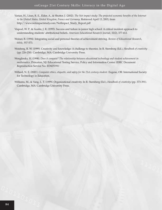- Varian, H., Litan, R. E., Elder, A., & Shutter, J. (2002). *The Net impact study: The projected economic benefits of the Internet in the United States, United Kingdom, France and Germany*. Retrieved April 13, 2003, from http://www.netimpactstudy.com/NetImpact\_Study\_Report.pdf
- Vispoel, W. P., & Austin, J. R. (1995). Success and failure in junior high school: A critical incident approach to understanding students' attributional beliefs. *American Educational Research Journal*, 32(2), 377-412.
- Weiner, B. (1994). Integrating social and personal theories of achievement striving. *Review of Educational Research*, *64*(4), 557-573.
- Weisberg, R. W. (1999). Creativity and knowledge: A challenge to theories. In R. Sternberg (Ed.), *Handbook of creativity* (pp. 226-250). Cambridge, MA: Cambridge University Press.
- Wenglinsky, H. (1998). *Does it compute? The relationship between educational technology and student achievement in mathematics*. Princeton, NJ: Educational Testing Service, Policy and Information Center. (ERIC Document Reproduction Service No. ED425191)
- Willard, N. E. (2001). *Computer ethics, etiquette, and safety for the 21st century student*. Eugene, OR: International Society for Technology in Education.
- Williams, M., & Yang, L. T. (1999). Organizational creativity. In R. Sternberg (Ed.), *Handbook of creativity* (pp. 373-391). Cambridge, MA: Cambridge University Press.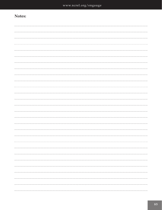# **Notes:**